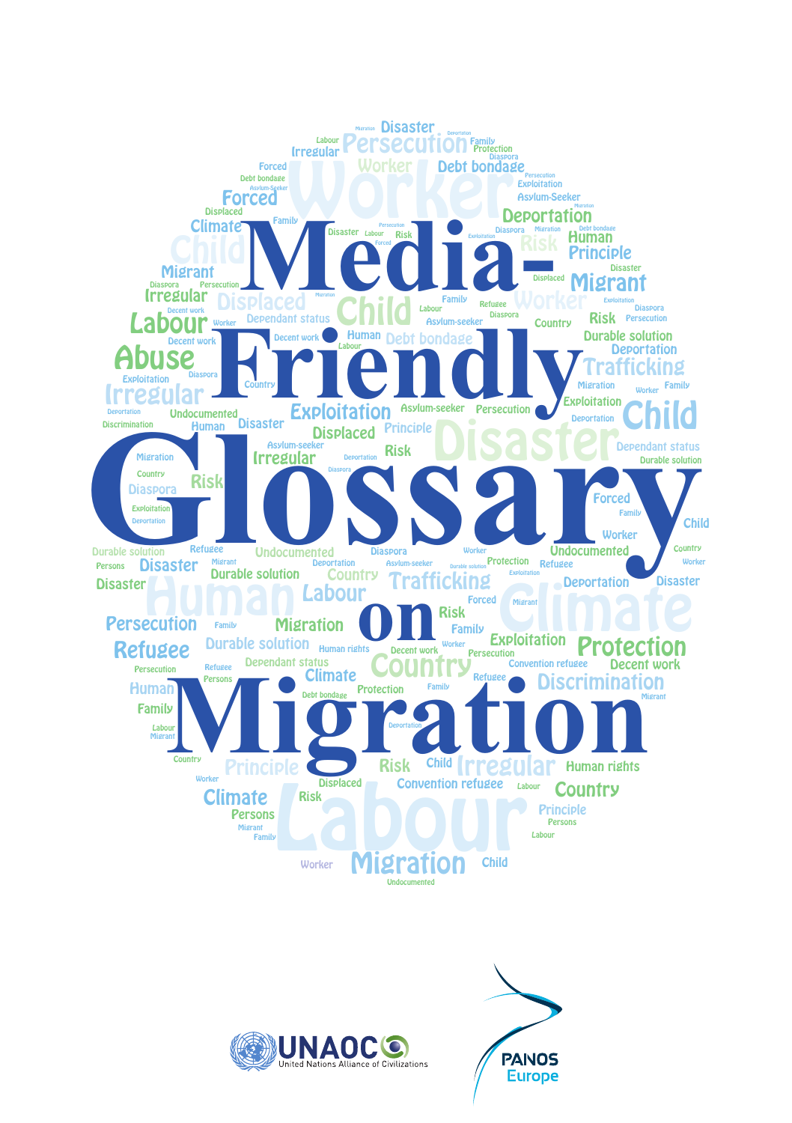



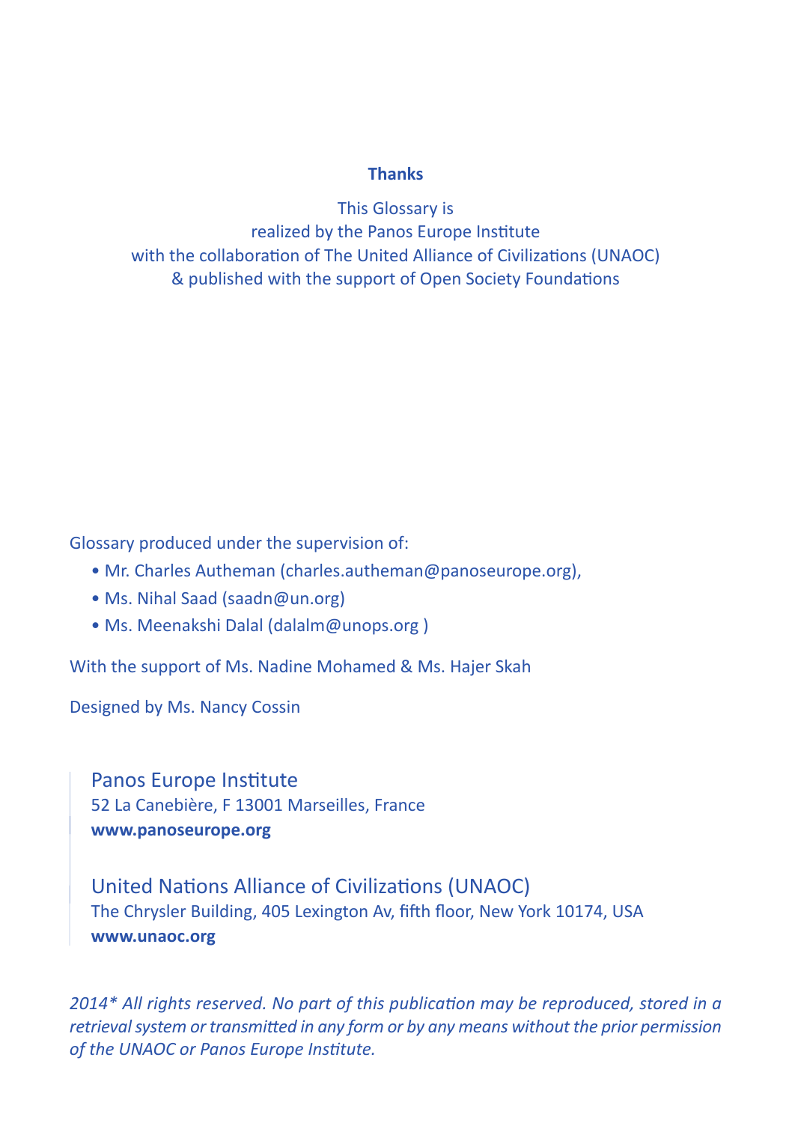#### **Thanks**

This Glossary is realized by the Panos Europe Institute with the collaboration of The United Alliance of Civilizations (UNAOC) & published with the support of Open Society Foundations

Glossary produced under the supervision of:

- Mr. Charles Autheman (charles.autheman@panoseurope.org),
- Ms. Nihal Saad (saadn@un.org)
- Ms. Meenakshi Dalal (dalalm@unops.org )

With the support of Ms. Nadine Mohamed & Ms. Hajer Skah

Designed by Ms. Nancy Cossin

Panos Europe Institute 52 La Canebière, F 13001 Marseilles, France **www.panoseurope.org**

United Nations Alliance of Civilizations (UNAOC) The Chrysler Building, 405 Lexington Av, fifth floor, New York 10174, USA **www.unaoc.org**

*2014\* All rights reserved. No part of this publication may be reproduced, stored in a retrieval system or transmitted in any form or by any means without the prior permission of the UNAOC or Panos Europe Institute.*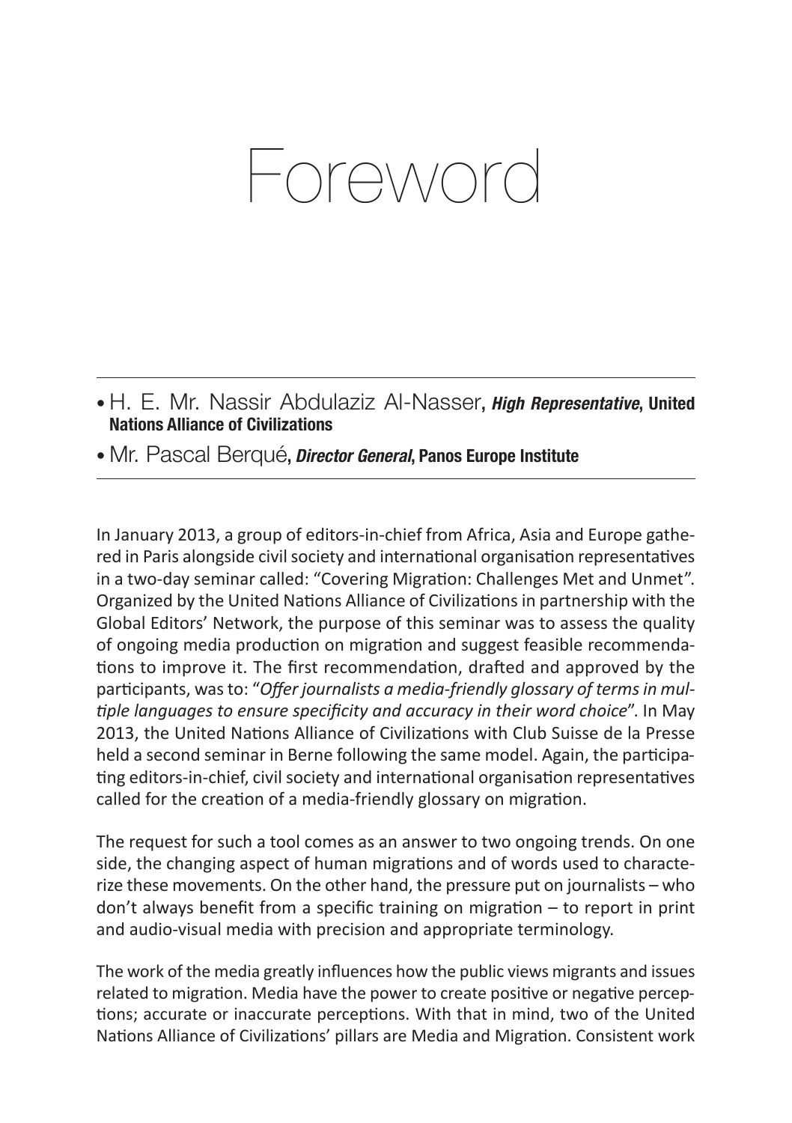# Foreword

- **•** H. E. Mr. Nassir Abdulaziz Al-Nasser**, High Representative, United Nations Alliance of Civilizations**
- **•** Mr. Pascal Berqué**, Director General, Panos Europe Institute**

In January 2013, a group of editors-in-chief from Africa, Asia and Europe gathered in Paris alongside civil society and international organisation representatives in a two-day seminar called: "Covering Migration: Challenges Met and Unmet". Organized by the United Nations Alliance of Civilizationsin partnership with the Global Editors' Network, the purpose of this seminar was to assess the quality of ongoing media production on migration and suggest feasible recommendations to improve it. The first recommendation, drafted and approved by the participants, wasto: "*Offer journalists a media-friendly glossary of termsin multiple languages to ensure specificity and accuracy in their word choice*". In May 2013, the United Nations Alliance of Civilizations with Club Suisse de la Presse held a second seminar in Berne following the same model. Again, the participating editors-in-chief, civil society and international organisation representatives called for the creation of a media-friendly glossary on migration.

The request for such a tool comes as an answer to two ongoing trends. On one side, the changing aspect of human migrations and of words used to characterize these movements. On the other hand, the pressure put on journalists – who don't always benefit from a specific training on migration – to report in print and audio-visual media with precision and appropriate terminology.

The work of the media greatly influences how the public views migrants and issues related to migration. Media have the power to create positive or negative perceptions; accurate or inaccurate perceptions. With that in mind, two of the United Nations Alliance of Civilizations' pillars are Media and Migration. Consistent work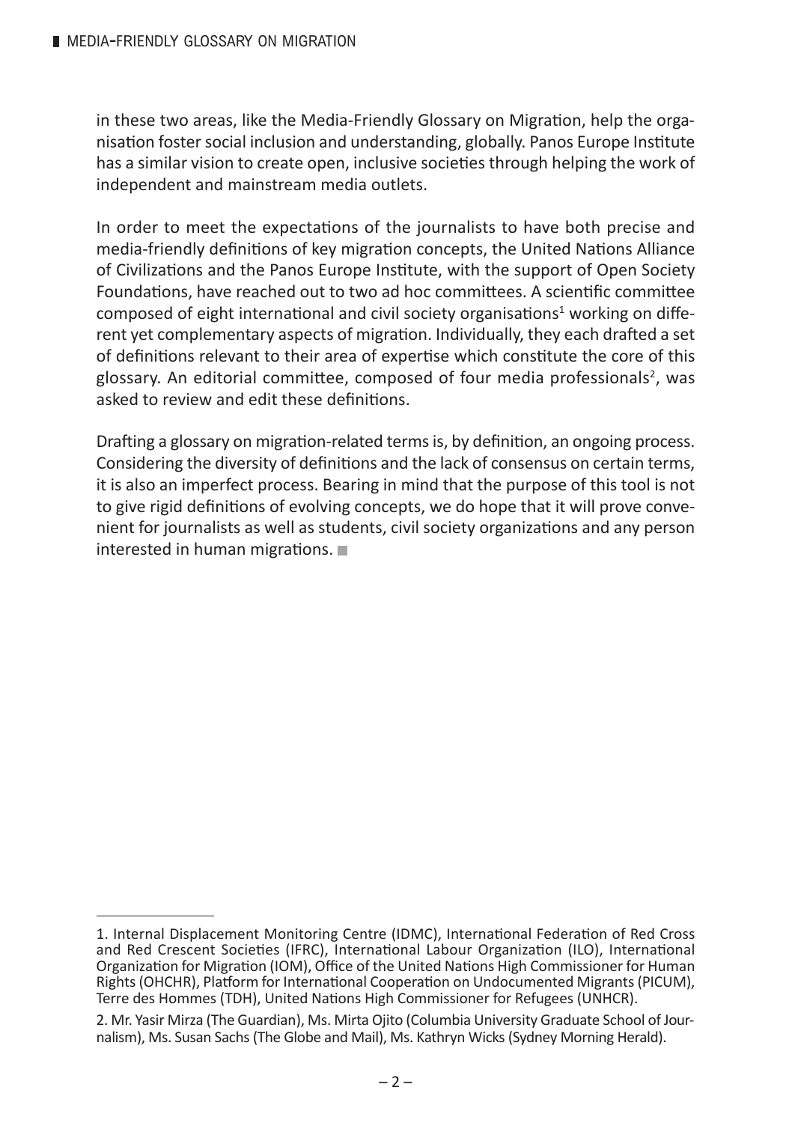in these two areas, like the Media-Friendly Glossary on Migration, help the organisation foster social inclusion and understanding, globally. Panos Europe Institute has a similar vision to create open, inclusive societies through helping the work of independent and mainstream media outlets.

In order to meet the expectations of the journalists to have both precise and media-friendly definitions of key migration concepts, the United Nations Alliance of Civilizations and the Panos Europe Institute, with the support of Open Society Foundations, have reached out to two ad hoc committees. A scientific committee composed of eight international and civil society organisations<sup>1</sup> working on different yet complementary aspects of migration. Individually, they each drafted a set of definitions relevant to their area of expertise which constitute the core of this glossary. An editorial committee, composed of four media professionals<sup>2</sup>, was asked to review and edit these definitions.

Drafting a glossary on migration-related termsis, by definition, an ongoing process. Considering the diversity of definitions and the lack of consensus on certain terms, it is also an imperfect process. Bearing in mind that the purpose of this tool is not to give rigid definitions of evolving concepts, we do hope that it will prove convenient for journalists as well as students, civil society organizations and any person interested in human migrations.

<sup>1.</sup> Internal Displacement Monitoring Centre (IDMC), International Federation of Red Cross and Red Crescent Societies (IFRC), International Labour Organization (ILO), International Organization for Migration (IOM), Office of the United Nations High Commissioner for Human Rights(OHCHR), Platform for International Cooperation on Undocumented Migrants(PICUM), Terre des Hommes (TDH), United Nations High Commissioner for Refugees (UNHCR).

<sup>2.</sup> Mr. Yasir Mirza (The Guardian), Ms. Mirta Ojito (Columbia University Graduate School of Journalism), Ms. Susan Sachs(The Globe and Mail), Ms. Kathryn Wicks(Sydney Morning Herald).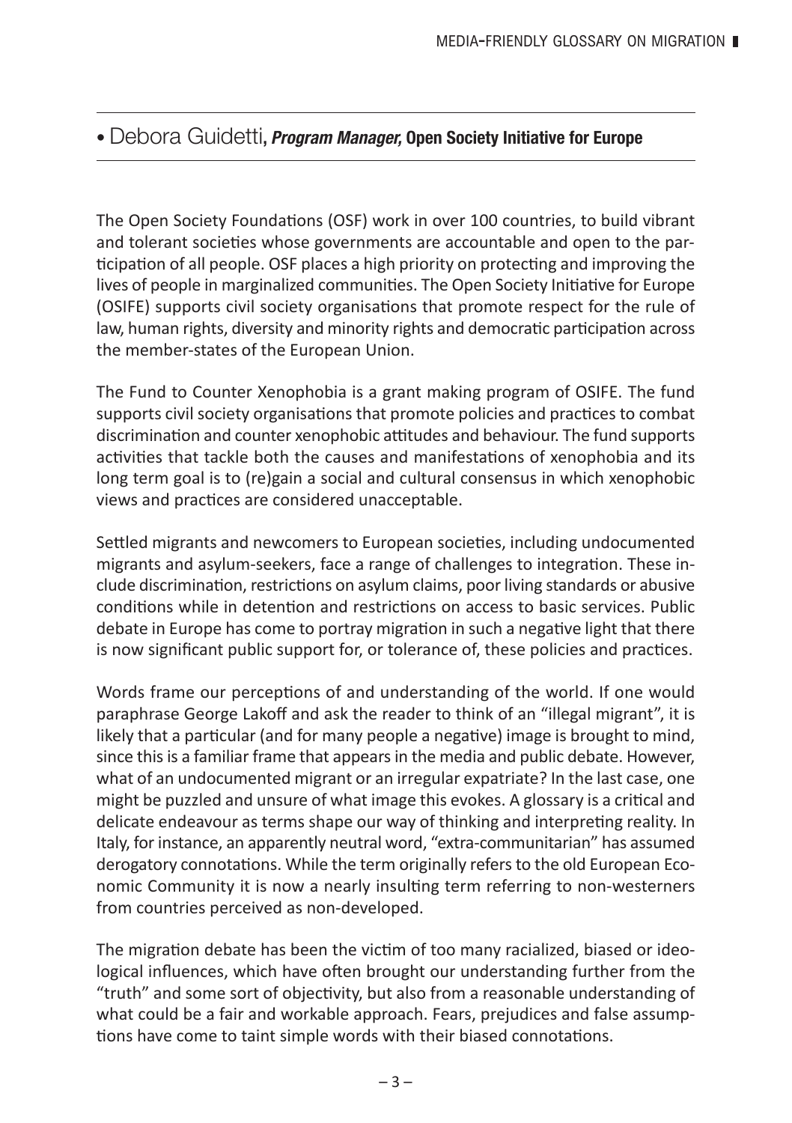# **•** Debora Guidetti**, Program Manager, Open Society Initiative for Europe**

The Open Society Foundations (OSF) work in over 100 countries, to build vibrant and tolerant societies whose governments are accountable and open to the participation of all people. OSF places a high priority on protecting and improving the lives of people in marginalized communities. The Open Society Initiative for Europe (OSIFE) supports civil society organisations that promote respect for the rule of law, human rights, diversity and minority rights and democratic participation across the member-states of the European Union.

The Fund to Counter Xenophobia is a grant making program of OSIFE. The fund supports civil society organisations that promote policies and practices to combat discrimination and counter xenophobic attitudes and behaviour. The fund supports activities that tackle both the causes and manifestations of xenophobia and its long term goal is to (re)gain a social and cultural consensus in which xenophobic views and practices are considered unacceptable.

Settled migrants and newcomers to European societies, including undocumented migrants and asylum-seekers, face a range of challenges to integration. These include discrimination, restrictions on asylum claims, poor living standards or abusive conditions while in detention and restrictions on access to basic services. Public debate in Europe has come to portray migration in such a negative light that there is now significant public support for, or tolerance of, these policies and practices.

Words frame our perceptions of and understanding of the world. If one would paraphrase George Lakoff and ask the reader to think of an "illegal migrant", it is likely that a particular (and for many people a negative) image is brought to mind, since thisis a familiar frame that appearsin the media and public debate. However, what of an undocumented migrant or an irregular expatriate? In the last case, one might be puzzled and unsure of what image this evokes. A glossary is a critical and delicate endeavour as terms shape our way of thinking and interpreting reality. In Italy, for instance, an apparently neutral word, "extra-communitarian" has assumed derogatory connotations. While the term originally refers to the old European Economic Community it is now a nearly insulting term referring to non-westerners from countries perceived as non-developed.

The migration debate has been the victim of too many racialized, biased or ideological influences, which have often brought our understanding further from the "truth" and some sort of objectivity, but also from a reasonable understanding of what could be a fair and workable approach. Fears, prejudices and false assumptions have come to taint simple words with their biased connotations.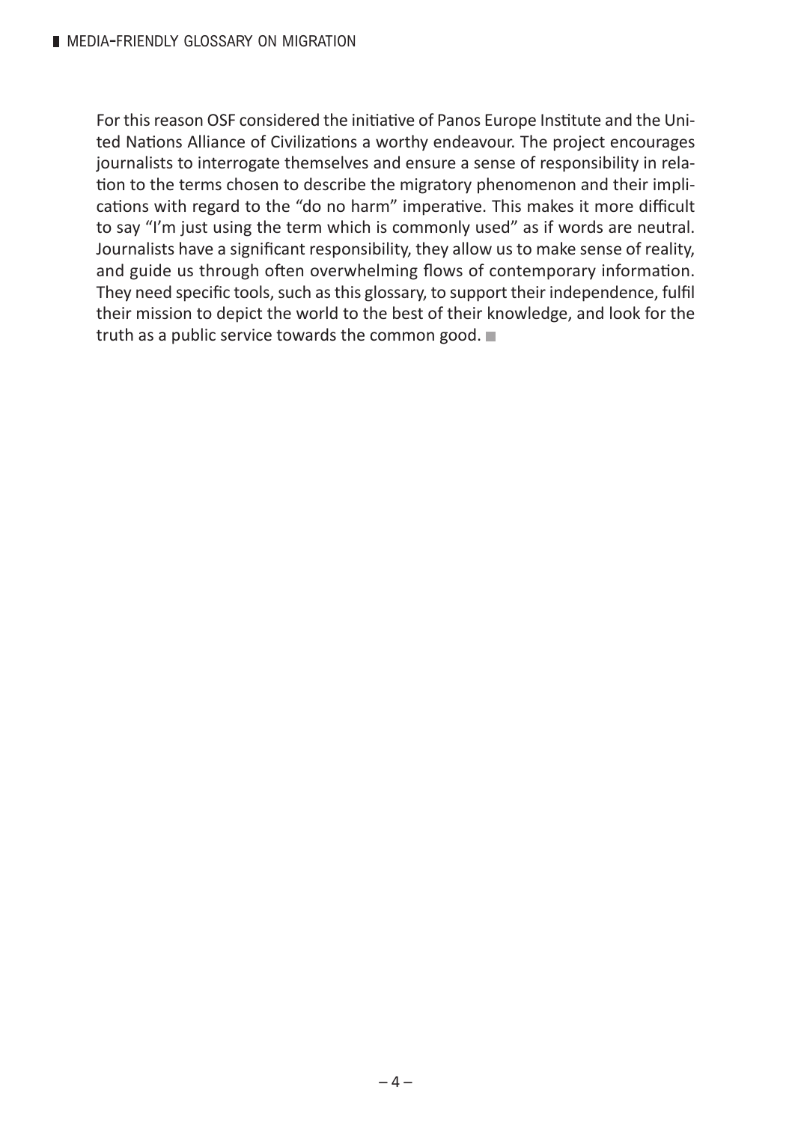For this reason OSF considered the initiative of Panos Europe Institute and the United Nations Alliance of Civilizations a worthy endeavour. The project encourages journalists to interrogate themselves and ensure a sense of responsibility in relation to the terms chosen to describe the migratory phenomenon and their implications with regard to the "do no harm" imperative. This makes it more difficult to say "I'm just using the term which is commonly used" as if words are neutral. Journalists have a significant responsibility, they allow us to make sense of reality, and guide us through often overwhelming flows of contemporary information. They need specific tools, such as this glossary, to support their independence, fulfil their mission to depict the world to the best of their knowledge, and look for the truth as a public service towards the common good.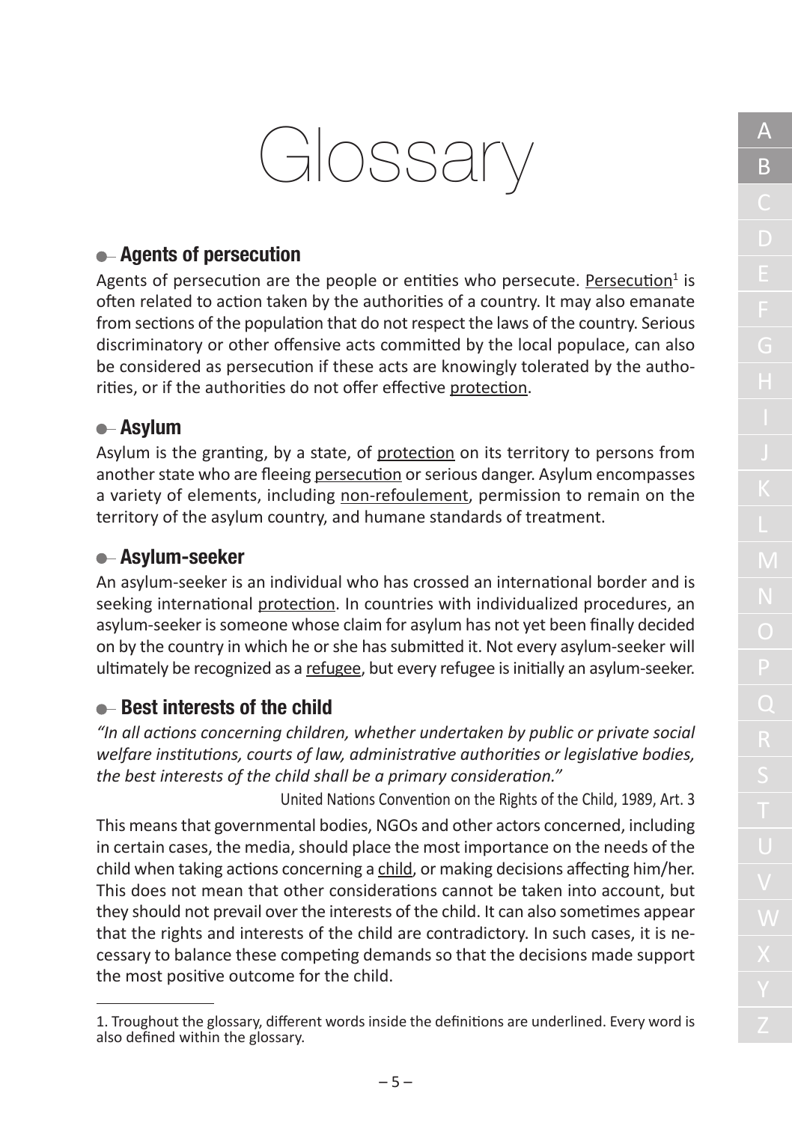

#### **Agents of persecution**

Agents of persecution are the people or entities who persecute. Persecution $1$  is often related to action taken by the authorities of a country. It may also emanate from sections of the population that do not respect the laws of the country. Serious discriminatory or other offensive acts committed by the local populace, can also be considered as persecution if these acts are knowingly tolerated by the authorities, or if the authorities do not offer effective protection.

#### **Asylum**

Asylum is the granting, by a state, of protection on its territory to persons from another state who are fleeing persecution or serious danger. Asylum encompasses a variety of elements, including non-refoulement, permission to remain on the territory of the asylum country, and humane standards of treatment.

#### **Asylum-seeker**

An asylum-seeker is an individual who has crossed an international border and is seeking international protection. In countries with individualized procedures, an asylum-seeker is someone whose claim for asylum has not yet been finally decided on by the country in which he orshe hassubmitted it. Not every asylum-seeker will ultimately be recognized as a refugee, but every refugee isinitially an asylum-seeker.

#### **Best interests of the child**

*"In all actions concerning children, whether undertaken by public or private social welfare institutions, courts of law, administrative authorities or legislative bodies, the best interests of the child shall be a primary consideration."*

United Nations Convention on the Rights of the Child, 1989, Art. 3

This meansthat governmental bodies, NGOs and other actors concerned, including in certain cases, the media, should place the most importance on the needs of the child when taking actions concerning a child, or making decisions affecting him/her. This does not mean that other considerations cannot be taken into account, but they should not prevail over the interests of the child. It can also sometimes appear that the rights and interests of the child are contradictory. In such cases, it is necessary to balance these competing demands so that the decisions made support the most positive outcome for the child.

<sup>1.</sup> Troughout the glossary, different words inside the definitions are underlined. Every word is also defined within the glossary.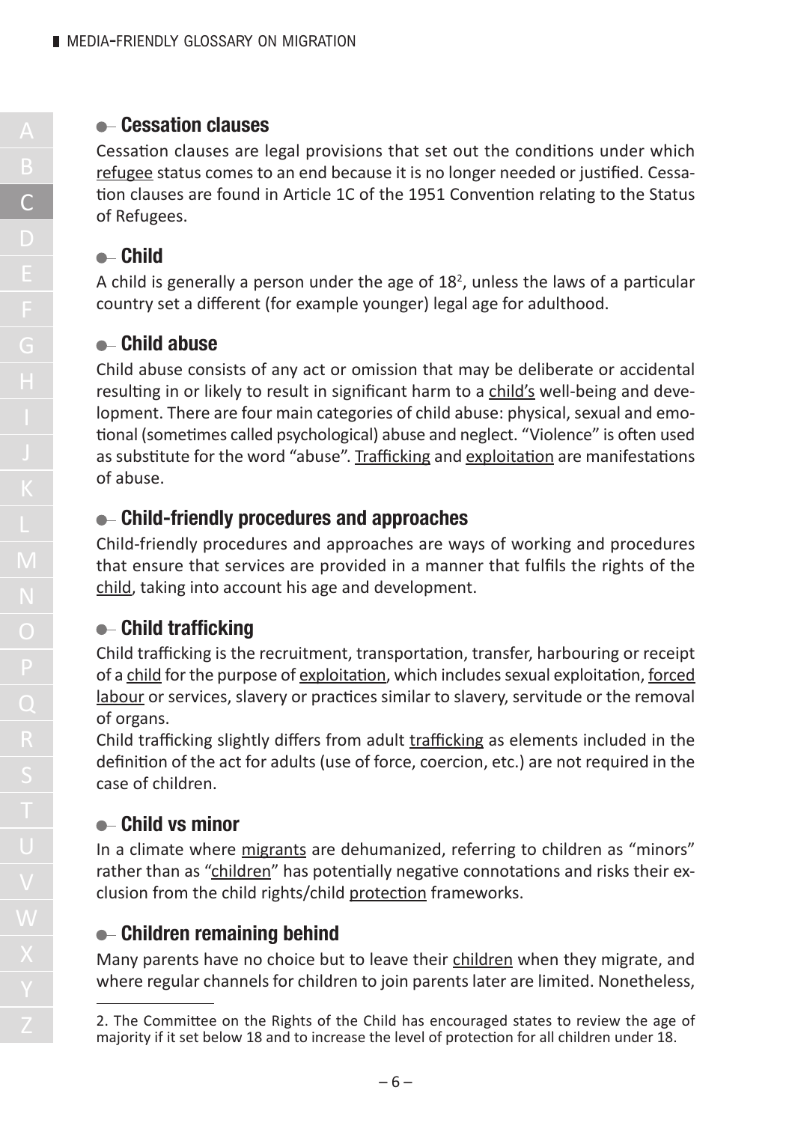#### **Cessation clauses**

Cessation clauses are legal provisions that set out the conditions under which refugee status comes to an end because it is no longer needed or justified. Cessation clauses are found in Article 1C of the 1951 Convention relating to the Status of Refugees.

# **Child**

A child is generally a person under the age of  $18<sup>2</sup>$ , unless the laws of a particular country set a different (for example younger) legal age for adulthood.

#### **Child abuse**

Child abuse consists of any act or omission that may be deliberate or accidental resulting in or likely to result in significant harm to a child's well-being and development. There are four main categories of child abuse: physical, sexual and emotional (sometimes called psychological) abuse and neglect. "Violence" is often used as substitute for the word "abuse". Trafficking and exploitation are manifestations of abuse.

#### **Child-friendly procedures and approaches**

Child-friendly procedures and approaches are ways of working and procedures that ensure that services are provided in a manner that fulfils the rights of the child, taking into account his age and development.

# **Child trafficking**

Child trafficking is the recruitment, transportation, transfer, harbouring or receipt of a child for the purpose of exploitation, which includes sexual exploitation, forced labour or services, slavery or practices similar to slavery, servitude or the removal of organs.

Child trafficking slightly differs from adult trafficking as elements included in the definition of the act for adults (use of force, coercion, etc.) are not required in the case of children.

#### **Child vs minor**

In a climate where migrants are dehumanized, referring to children as "minors" rather than as "children" has potentially negative connotations and risks their exclusion from the child rights/child protection frameworks.

#### **Children remaining behind**

Many parents have no choice but to leave their children when they migrate, and where regular channels for children to join parents later are limited. Nonetheless,

<sup>2.</sup> The Committee on the Rights of the Child has encouraged states to review the age of majority if it set below <sup>18</sup> and to increase the level of protection for all children under 18.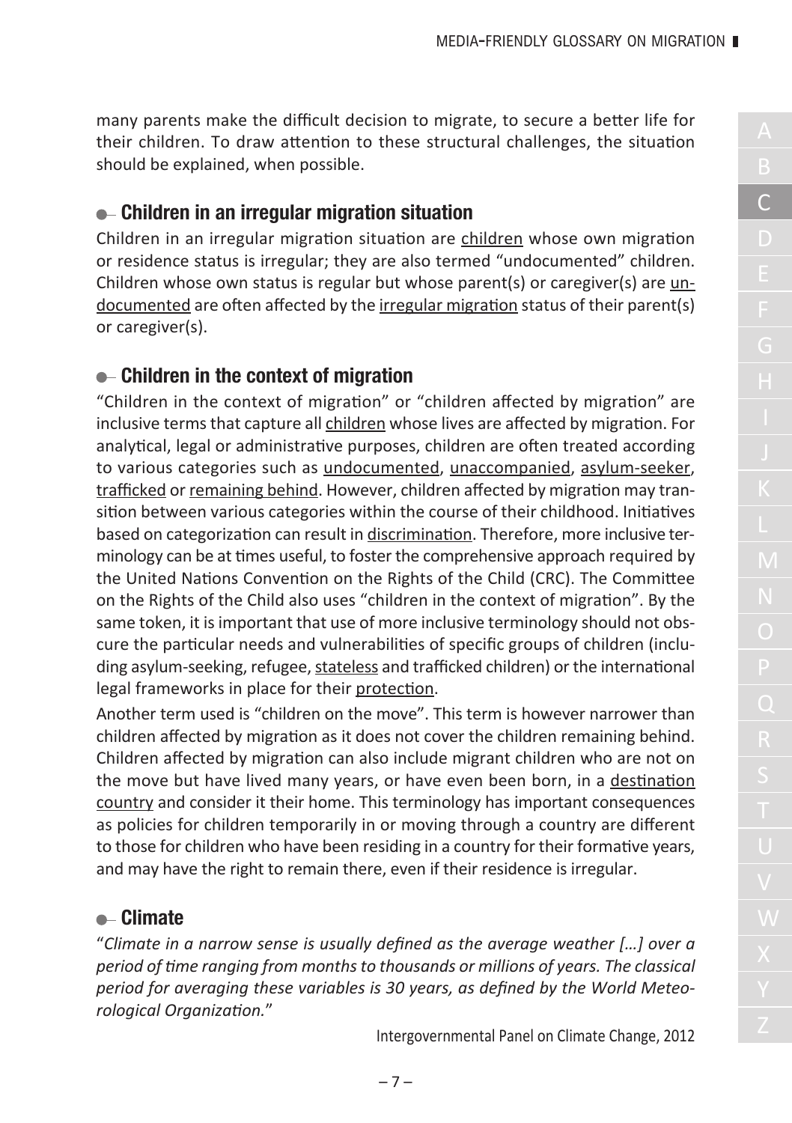many parents make the difficult decision to migrate, to secure a better life for their children. To draw attention to these structural challenges, the situation should be explained, when possible.

#### **Children in an irregular migration situation**

Children in an irregular migration situation are children whose own migration or residence status is irregular; they are also termed "undocumented" children. Children whose own status is regular but whose parent(s) or caregiver(s) are undocumented are often affected by the irregular migration status of their parent(s) or caregiver(s).

#### **Children in the context of migration**

"Children in the context of migration" or "children affected by migration" are inclusive terms that capture all children whose lives are affected by migration. For analytical, legal or administrative purposes, children are often treated according to various categories such as undocumented, unaccompanied, asylum-seeker, trafficked or remaining behind. However, children affected by migration may transition between various categories within the course of their childhood. Initiatives based on categorization can result in discrimination. Therefore, more inclusive terminology can be at times useful, to foster the comprehensive approach required by the United Nations Convention on the Rights of the Child (CRC). The Committee on the Rights of the Child also uses "children in the context of migration". By the same token, it isimportant that use of more inclusive terminology should not obscure the particular needs and vulnerabilities of specific groups of children (including asylum-seeking, refugee, stateless and trafficked children) or the international legal frameworks in place for their protection.

Another term used is "children on the move". This term is however narrower than children affected by migration as it does not cover the children remaining behind. Children affected by migration can also include migrant children who are not on the move but have lived many years, or have even been born, in a destination country and consider it their home. This terminology has important consequences as policies for children temporarily in or moving through a country are different to those for children who have been residing in a country for their formative years, and may have the right to remain there, even if their residence is irregular.

#### **Climate**

"*Climate in a narrow sense is usually defined as the average weather […] over a period of time ranging from monthsto thousands or millions of years. The classical period for averaging these variables is 30 years, as defined by the World Meteorological Organization.*"

Intergovernmental Panel on Climate Change, 2012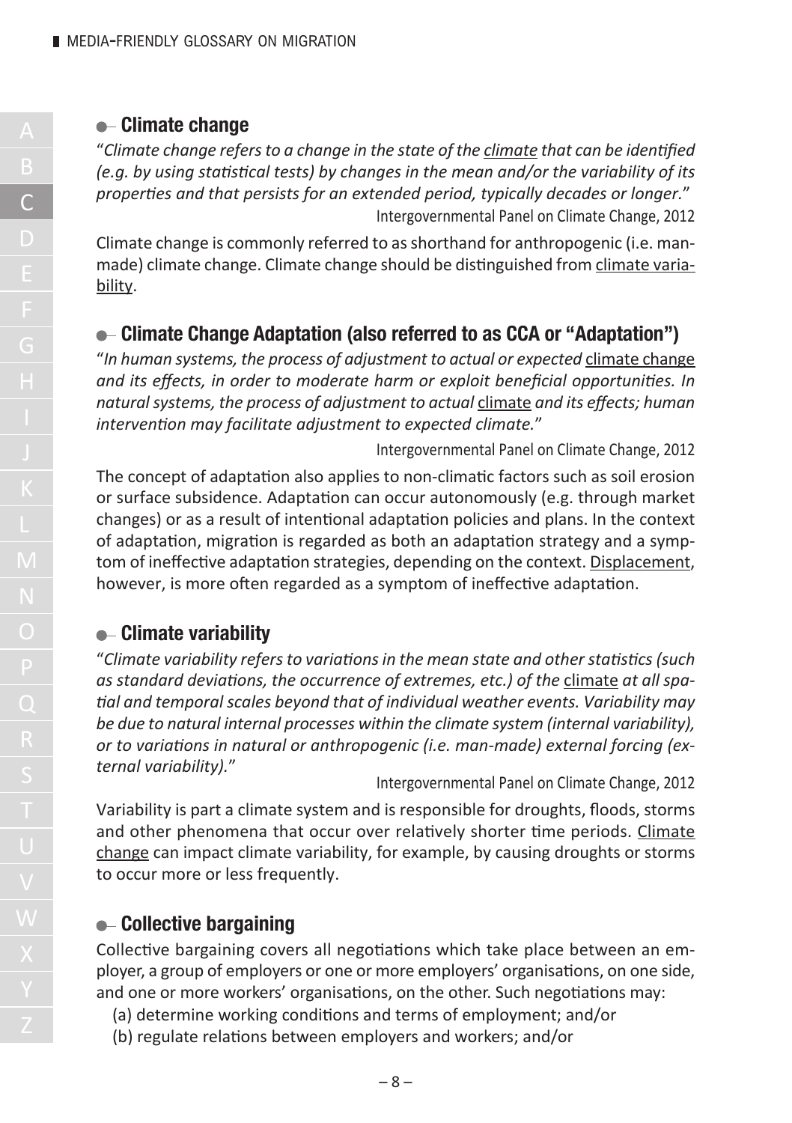#### **Climate change**

"*Climate change refersto a change in the state of the climate that can be identified (e.g. by using statistical tests) by changes in the mean and/or the variability of its properties and that persists for an extended period, typically decades or longer.*" Intergovernmental Panel on Climate Change, 2012

Climate change is commonly referred to as shorthand for anthropogenic (i.e. manmade) climate change. Climate change should be distinguished from climate variability.

#### **Climate Change Adaptation (also referred to as CCA or "Adaptation")**

"*In human systems, the process of adjustment to actual or expected* climate change *and its effects, in order to moderate harm or exploit beneficial opportunities. In naturalsystems, the process of adjustment to actual* climate *and its effects; human intervention may facilitate adjustment to expected climate.*"

Intergovernmental Panel on Climate Change, 2012

The concept of adaptation also applies to non-climatic factors such as soil erosion or surface subsidence. Adaptation can occur autonomously (e.g. through market changes) or as a result of intentional adaptation policies and plans. In the context of adaptation, migration is regarded as both an adaptation strategy and a symptom of ineffective adaptation strategies, depending on the context. Displacement, however, is more often regarded as a symptom of ineffective adaptation.

#### **Climate variability**

"*Climate variability refersto variationsin the mean state and otherstatistics(such as standard deviations, the occurrence of extremes, etc.) of the* climate *at all spatial and temporal scales beyond that of individual weather events. Variability may be due to natural internal processes within the climate system (internal variability), or to variations in natural or anthropogenic (i.e. man-made) external forcing (external variability).*"

Intergovernmental Panel on Climate Change, 2012

Variability is part a climate system and is responsible for droughts, floods, storms and other phenomena that occur over relatively shorter time periods. Climate change can impact climate variability, for example, by causing droughts or storms to occur more or less frequently.

#### **Collective bargaining**

Collective bargaining covers all negotiations which take place between an employer, a group of employers or one or more employers' organisations, on one side, and one or more workers' organisations, on the other. Such negotiations may:

- (a) determine working conditions and terms of employment; and/or
- (b) regulate relations between employers and workers; and/or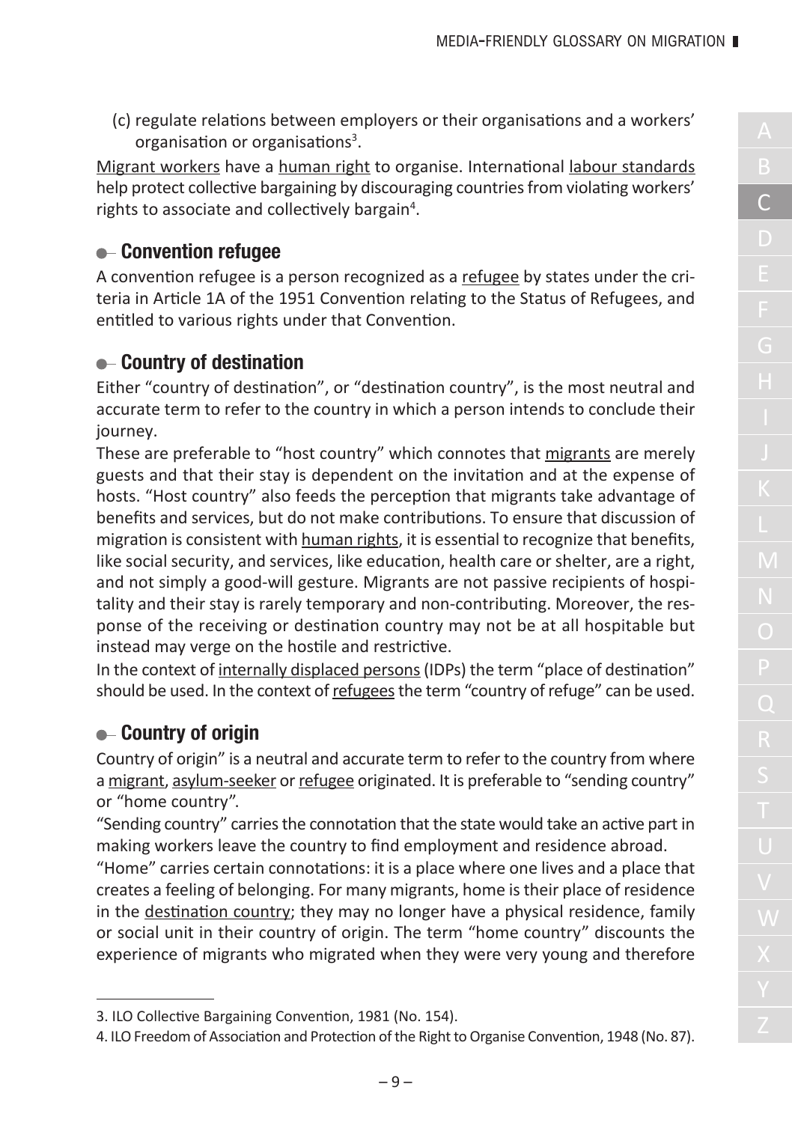(c) regulate relations between employers or their organisations and a workers' organisation or organisations<sup>3</sup>.

Migrant workers have a human right to organise. International labour standards help protect collective bargaining by discouraging countries from violating workers' rights to associate and collectively bargain<sup>4</sup>.

#### **Convention refugee**

A convention refugee is a person recognized as a refugee by states under the criteria in Article 1A of the 1951 Convention relating to the Status of Refugees, and entitled to various rights under that Convention.

#### **Country of destination**

Either "country of destination", or "destination country", is the most neutral and accurate term to refer to the country in which a person intends to conclude their journey.

These are preferable to "host country" which connotes that migrants are merely guests and that their stay is dependent on the invitation and at the expense of hosts. "Host country" also feeds the perception that migrants take advantage of benefits and services, but do not make contributions. To ensure that discussion of migration is consistent with human rights, it is essential to recognize that benefits, like social security, and services, like education, health care or shelter, are a right, and not simply a good-will gesture. Migrants are not passive recipients of hospitality and their stay is rarely temporary and non-contributing. Moreover, the response of the receiving or destination country may not be at all hospitable but instead may verge on the hostile and restrictive.

In the context of internally displaced persons(IDPs) the term "place of destination" should be used. In the context of refugees the term "country of refuge" can be used.

#### **Country of origin**

Country of origin" is a neutral and accurate term to refer to the country from where a migrant, asylum-seeker or refugee originated. It is preferable to "sending country" or "home country".

"Sending country" carriesthe connotation that the state would take an active part in making workers leave the country to find employment and residence abroad.

"Home" carries certain connotations: it is a place where one lives and a place that creates a feeling of belonging. For many migrants, home istheir place of residence in the destination country; they may no longer have a physical residence, family or social unit in their country of origin. The term "home country" discounts the experience of migrants who migrated when they were very young and therefore

<sup>3.</sup> ILO Collective Bargaining Convention, 1981 (No. 154).

<sup>4.</sup> ILO Freedom of Association and Protection of the Right to Organise Convention, 1948 (No. 87).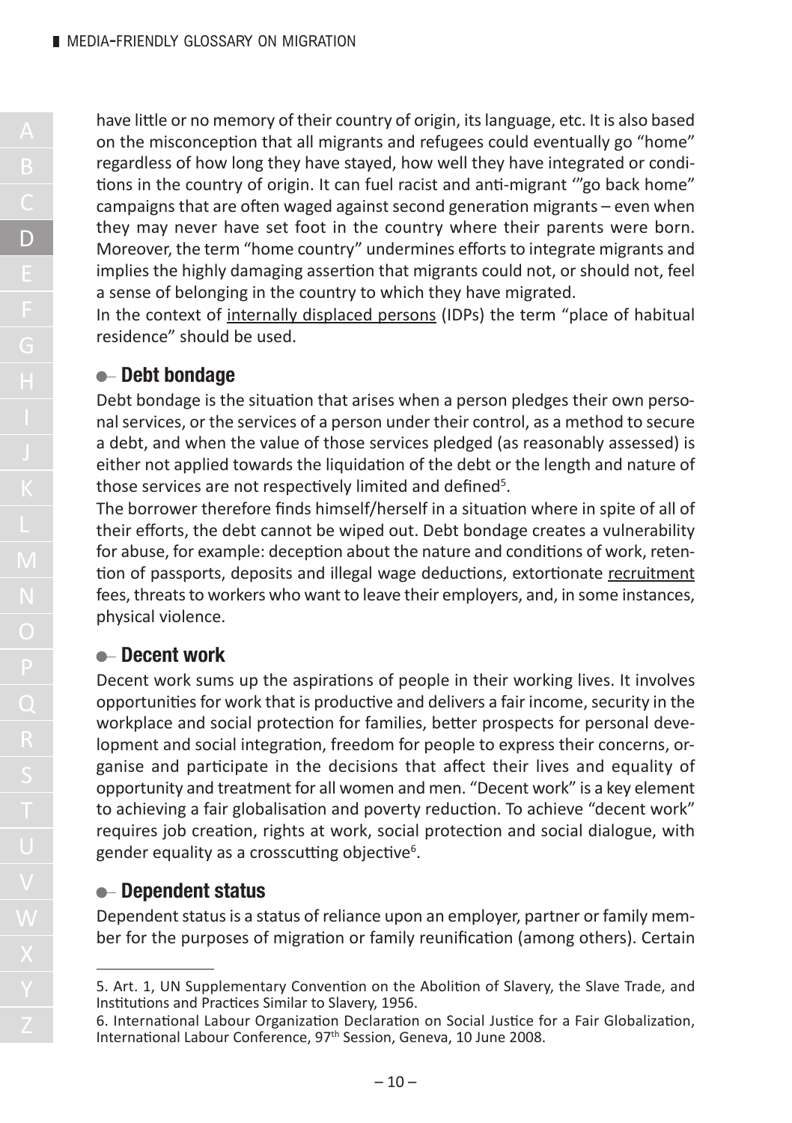have little or no memory of their country of origin, itslanguage, etc. It is also based on the misconception that all migrants and refugees could eventually go "home" regardless of how long they have stayed, how well they have integrated or conditions in the country of origin. It can fuel racist and anti-migrant '"go back home" campaigns that are often waged against second generation migrants – even when they may never have set foot in the country where their parents were born. Moreover, the term "home country" undermines effortsto integrate migrants and implies the highly damaging assertion that migrants could not, or should not, feel a sense of belonging in the country to which they have migrated.

In the context of internally displaced persons (IDPs) the term "place of habitual residence" should be used.

#### **Debt bondage**

Debt bondage is the situation that arises when a person pledges their own personalservices, or the services of a person under their control, as a method to secure a debt, and when the value of those services pledged (as reasonably assessed) is either not applied towards the liquidation of the debt or the length and nature of those services are not respectively limited and defined<sup>5</sup>.

The borrower therefore finds himself/herself in a situation where in spite of all of their efforts, the debt cannot be wiped out. Debt bondage creates a vulnerability for abuse, for example: deception about the nature and conditions of work, retention of passports, deposits and illegal wage deductions, extortionate recruitment fees, threats to workers who want to leave their employers, and, in some instances, physical violence.

#### **Decent work**

Decent work sums up the aspirations of people in their working lives. It involves opportunities for work that is productive and delivers a fair income, security in the workplace and social protection for families, better prospects for personal development and social integration, freedom for people to express their concerns, organise and participate in the decisions that affect their lives and equality of opportunity and treatment for all women and men. "Decent work" is a key element to achieving a fair globalisation and poverty reduction. To achieve "decent work" requires job creation, rights at work, social protection and social dialogue, with gender equality as a crosscutting objective<sup>6</sup>.

#### **Dependent status**

Dependent status is a status of reliance upon an employer, partner or family member for the purposes of migration or family reunification (among others). Certain

<sup>5.</sup> Art. 1, UN Supplementary Convention on the Abolition of Slavery, the Slave Trade, and Institutions and Practices Similar to Slavery, 1956.

<sup>6.</sup> International Labour Organization Declaration on Social Justice for a Fair Globalization, International Labour Conference, 97<sup>th</sup> Session, Geneva, 10 June 2008.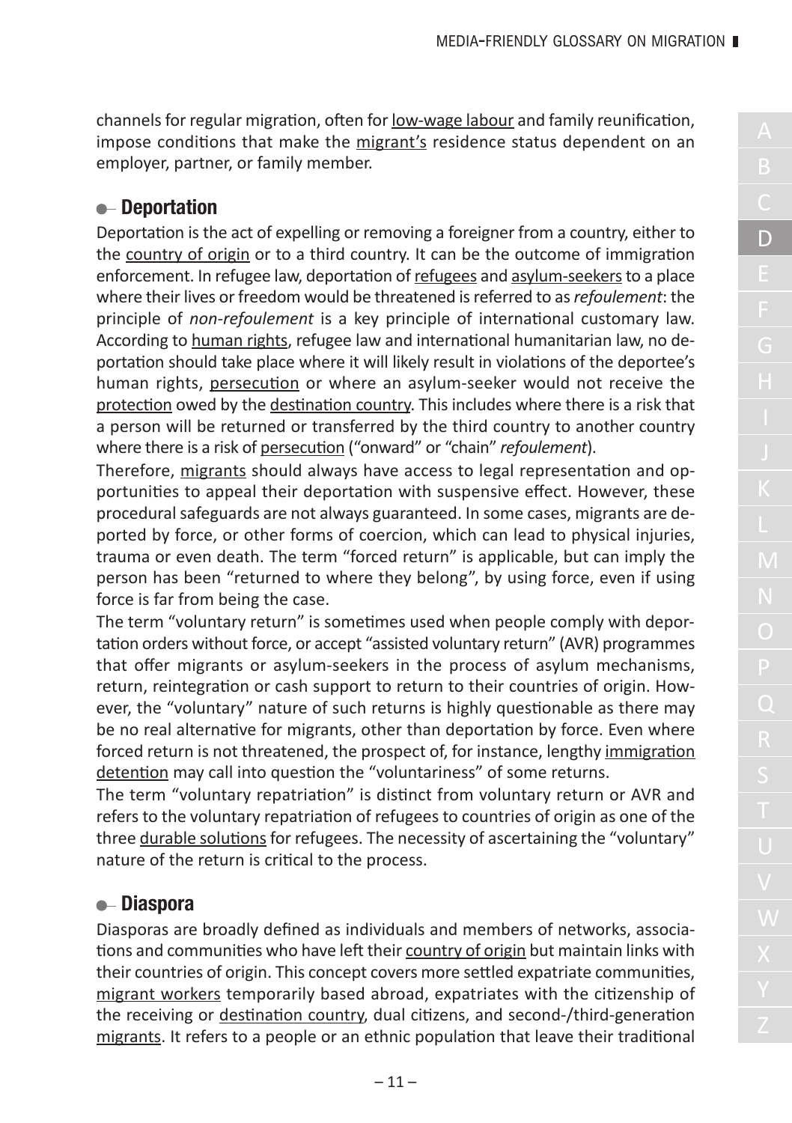channels for regular migration, often for low-wage labour and family reunification, impose conditions that make the migrant's residence status dependent on an employer, partner, or family member.

#### **Deportation**

Deportation is the act of expelling or removing a foreigner from a country, either to the country of origin or to a third country. It can be the outcome of immigration enforcement. In refugee law, deportation of refugees and asylum-seekers to a place where their lives or freedom would be threatened isreferred to as*refoulement*: the principle of *non-refoulement* is a key principle of international customary law. According to human rights, refugee law and international humanitarian law, no deportation should take place where it will likely result in violations of the deportee's human rights, persecution or where an asylum-seeker would not receive the protection owed by the destination country. This includes where there is a risk that a person will be returned or transferred by the third country to another country where there is a risk of persecution ("onward" or "chain" *refoulement*).

Therefore, migrants should always have access to legal representation and opportunities to appeal their deportation with suspensive effect. However, these procedural safeguards are not always guaranteed. In some cases, migrants are deported by force, or other forms of coercion, which can lead to physical injuries, trauma or even death. The term "forced return" is applicable, but can imply the person has been "returned to where they belong", by using force, even if using force is far from being the case.

The term "voluntary return" is sometimes used when people comply with deportation orders without force, or accept "assisted voluntary return" (AVR) programmes that offer migrants or asylum-seekers in the process of asylum mechanisms, return, reintegration or cash support to return to their countries of origin. However, the "voluntary" nature of such returns is highly questionable as there may be no real alternative for migrants, other than deportation by force. Even where forced return is not threatened, the prospect of, for instance, lengthy immigration detention may call into question the "voluntariness" of some returns.

The term "voluntary repatriation" is distinct from voluntary return or AVR and refers to the voluntary repatriation of refugees to countries of origin as one of the three durable solutions for refugees. The necessity of ascertaining the "voluntary" nature of the return is critical to the process.

#### **Diaspora**

Diasporas are broadly defined as individuals and members of networks, associations and communities who have left their country of origin but maintain links with their countries of origin. This concept covers more settled expatriate communities, migrant workers temporarily based abroad, expatriates with the citizenship of the receiving or destination country, dual citizens, and second-/third-generation migrants. It refers to a people or an ethnic population that leave their traditional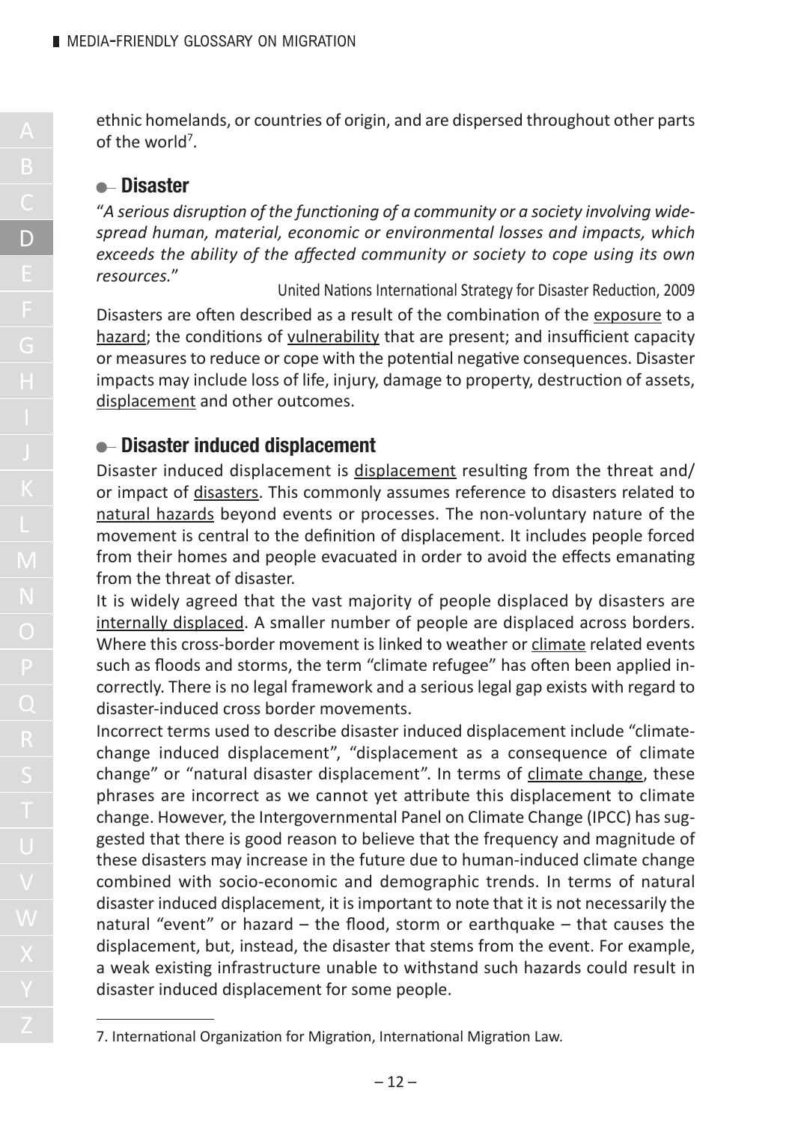ethnic homelands, or countries of origin, and are dispersed throughout other parts of the world<sup>7</sup>.

#### **Disaster**

"*A serious disruption of the functioning of a community or a society involving widespread human, material, economic or environmental losses and impacts, which exceeds the ability of the affected community or society to cope using its own resources.*" United Nations International Strategy for Disaster Reduction, <sup>2009</sup>

Disasters are often described as a result of the combination of the exposure to a hazard; the conditions of vulnerability that are present; and insufficient capacity or measuresto reduce or cope with the potential negative consequences. Disaster impacts may include loss of life, injury, damage to property, destruction of assets, displacement and other outcomes.

#### **Disaster induced displacement**

Disaster induced displacement is displacement resulting from the threat and/ or impact of disasters. This commonly assumes reference to disasters related to natural hazards beyond events or processes. The non-voluntary nature of the movement is central to the definition of displacement. It includes people forced from their homes and people evacuated in order to avoid the effects emanating from the threat of disaster.

It is widely agreed that the vast majority of people displaced by disasters are internally displaced. A smaller number of people are displaced across borders. Where this cross-border movement is linked to weather or climate related events such as floods and storms, the term "climate refugee" has often been applied incorrectly. There is no legal framework and a serious legal gap exists with regard to disaster-induced cross border movements.

Incorrect terms used to describe disaster induced displacement include "climatechange induced displacement", "displacement as a consequence of climate change" or "natural disaster displacement". In terms of climate change, these phrases are incorrect as we cannot yet attribute this displacement to climate change. However, the Intergovernmental Panel on Climate Change (IPCC) hassuggested that there is good reason to believe that the frequency and magnitude of these disasters may increase in the future due to human-induced climate change combined with socio-economic and demographic trends. In terms of natural disaster induced displacement, it is important to note that it is not necessarily the natural "event" or hazard – the flood, storm or earthquake – that causes the displacement, but, instead, the disaster that stems from the event. For example, a weak existing infrastructure unable to withstand such hazards could result in disaster induced displacement for some people.

<sup>7.</sup> International Organization for Migration, International Migration Law.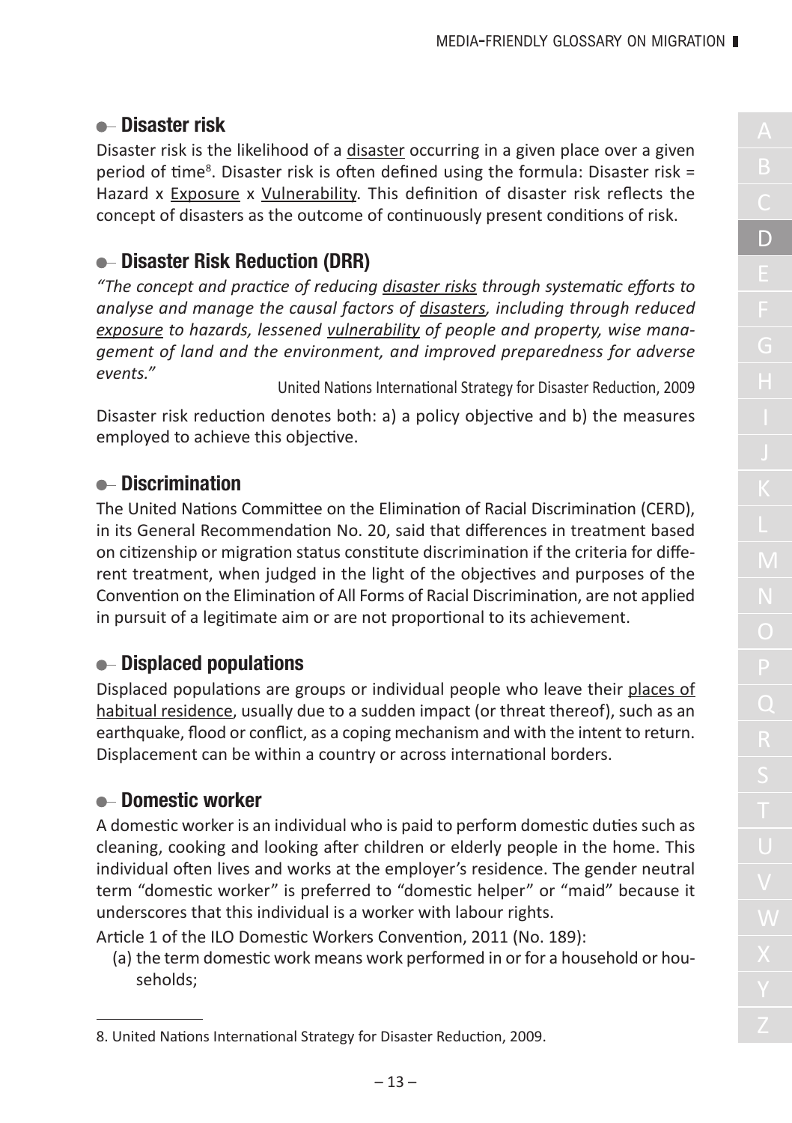#### **Disaster risk**

Disaster risk is the likelihood of a disaster occurring in a given place over a given period of time<sup>8</sup>. Disaster risk is often defined using the formula: Disaster risk = Hazard x Exposure x Vulnerability. This definition of disaster risk reflects the concept of disasters as the outcome of continuously present conditions of risk.

# **Disaster Risk Reduction (DRR)**

*"The concept and practice of reducing disaster risks through systematic efforts to analyse and manage the causal factors of disasters, including through reduced exposure to hazards, lessened vulnerability of people and property, wise management of land and the environment, and improved preparedness for adverse events."* United Nations International Strategy for Disaster Reduction, <sup>2009</sup>

Disaster risk reduction denotes both: a) a policy objective and b) the measures employed to achieve this objective.

# **Discrimination**

The United Nations Committee on the Elimination of Racial Discrimination (CERD), in its General Recommendation No. 20, said that differences in treatment based on citizenship or migration status constitute discrimination if the criteria for different treatment, when judged in the light of the objectives and purposes of the Convention on the Elimination of All Forms of Racial Discrimination, are not applied in pursuit of a legitimate aim or are not proportional to its achievement.

# **Displaced populations**

Displaced populations are groups or individual people who leave their places of habitual residence, usually due to a sudden impact (or threat thereof), such as an earthquake, flood or conflict, as a coping mechanism and with the intent to return. Displacement can be within a country or across international borders.

# **Domestic worker**

A domestic worker is an individual who is paid to perform domestic duties such as cleaning, cooking and looking after children or elderly people in the home. This individual often lives and works at the employer's residence. The gender neutral term "domestic worker" is preferred to "domestic helper" or "maid" because it underscores that this individual is a worker with labour rights.

Article 1 of the ILO Domestic Workers Convention, 2011 (No. 189):

(a) the term domestic work means work performed in or for a household or households;

<sup>8.</sup> United Nations International Strategy for Disaster Reduction, 2009.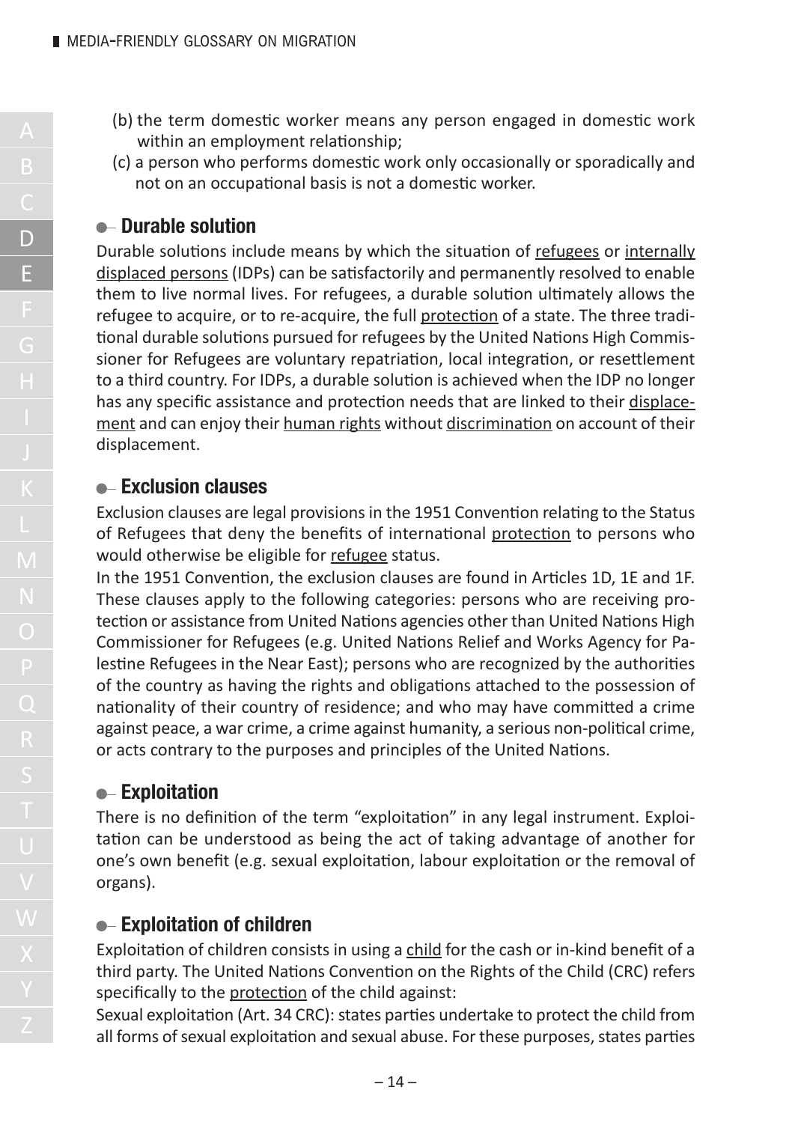- (b) the term domestic worker means any person engaged in domestic work within an employment relationship;
- (c) a person who performs domestic work only occasionally or sporadically and not on an occupational basis is not a domestic worker.

#### **Durable solution**

Durable solutions include means by which the situation of refugees or internally displaced persons (IDPs) can be satisfactorily and permanently resolved to enable them to live normal lives. For refugees, a durable solution ultimately allows the refugee to acquire, or to re-acquire, the full protection of a state. The three traditional durable solutions pursued for refugees by the United Nations High Commissioner for Refugees are voluntary repatriation, local integration, or resettlement to a third country. For IDPs, a durable solution is achieved when the IDP no longer has any specific assistance and protection needs that are linked to their displacement and can enjoy their human rights without discrimination on account of their displacement.

#### **Exclusion clauses**

Exclusion clauses are legal provisionsin the 1951 Convention relating to the Status of Refugees that deny the benefits of international protection to persons who would otherwise be eligible for refugee status.

In the 1951 Convention, the exclusion clauses are found in Articles 1D, 1E and 1F. These clauses apply to the following categories: persons who are receiving protection or assistance from United Nations agencies other than United Nations High Commissioner for Refugees (e.g. United Nations Relief and Works Agency for Palestine Refugees in the Near East); persons who are recognized by the authorities of the country as having the rights and obligations attached to the possession of nationality of their country of residence; and who may have committed a crime against peace, a war crime, a crime against humanity, a serious non-political crime, or acts contrary to the purposes and principles of the United Nations.

#### **Exploitation**

There is no definition of the term "exploitation" in any legal instrument. Exploitation can be understood as being the act of taking advantage of another for one's own benefit (e.g. sexual exploitation, labour exploitation or the removal of organs).

#### **Exploitation of children**

Exploitation of children consists in using a child for the cash or in-kind benefit of a third party. The United Nations Convention on the Rights of the Child (CRC) refers specifically to the protection of the child against:

Sexual exploitation (Art. 34 CRC): states parties undertake to protect the child from all forms of sexual exploitation and sexual abuse. For these purposes, states parties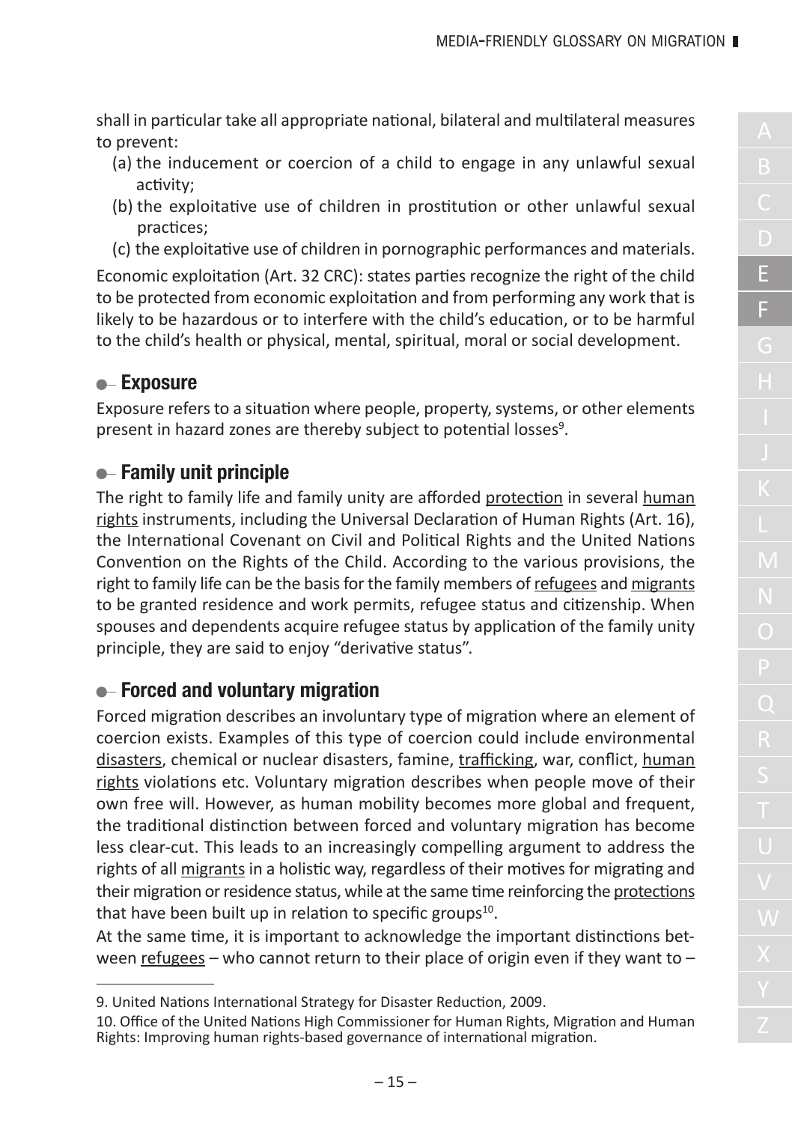shall in particular take all appropriate national, bilateral and multilateral measures to prevent:

- (a) the inducement or coercion of a child to engage in any unlawful sexual activity;
- (b) the exploitative use of children in prostitution or other unlawful sexual practices;
- (c) the exploitative use of children in pornographic performances and materials.

Economic exploitation (Art. 32 CRC): states parties recognize the right of the child to be protected from economic exploitation and from performing any work that is likely to be hazardous or to interfere with the child's education, or to be harmful to the child's health or physical, mental, spiritual, moral or social development.

#### **Exposure**

Exposure refers to a situation where people, property, systems, or other elements present in hazard zones are thereby subject to potential losses<sup>9</sup>.

#### **Family unit principle**

The right to family life and family unity are afforded protection in several human rights instruments, including the Universal Declaration of Human Rights (Art. 16), the International Covenant on Civil and Political Rights and the United Nations Convention on the Rights of the Child. According to the various provisions, the right to family life can be the basis for the family members of refugees and migrants to be granted residence and work permits, refugee status and citizenship. When spouses and dependents acquire refugee status by application of the family unity principle, they are said to enjoy "derivative status".

#### **Forced and voluntary migration**

Forced migration describes an involuntary type of migration where an element of coercion exists. Examples of this type of coercion could include environmental disasters, chemical or nuclear disasters, famine, trafficking, war, conflict, human rights violations etc. Voluntary migration describes when people move of their own free will. However, as human mobility becomes more global and frequent, the traditional distinction between forced and voluntary migration has become less clear-cut. This leads to an increasingly compelling argument to address the rights of all migrants in a holistic way, regardless of their motives for migrating and their migration or residence status, while at the same time reinforcing the protections that have been built up in relation to specific groups<sup>10</sup>.

At the same time, it is important to acknowledge the important distinctions between refugees – who cannot return to their place of origin even if they want to –

<sup>9.</sup> United Nations International Strategy for Disaster Reduction, 2009.

<sup>10.</sup> Office of the United Nations High Commissioner for Human Rights, Migration and Human Rights: Improving human rights-based governance of international migration.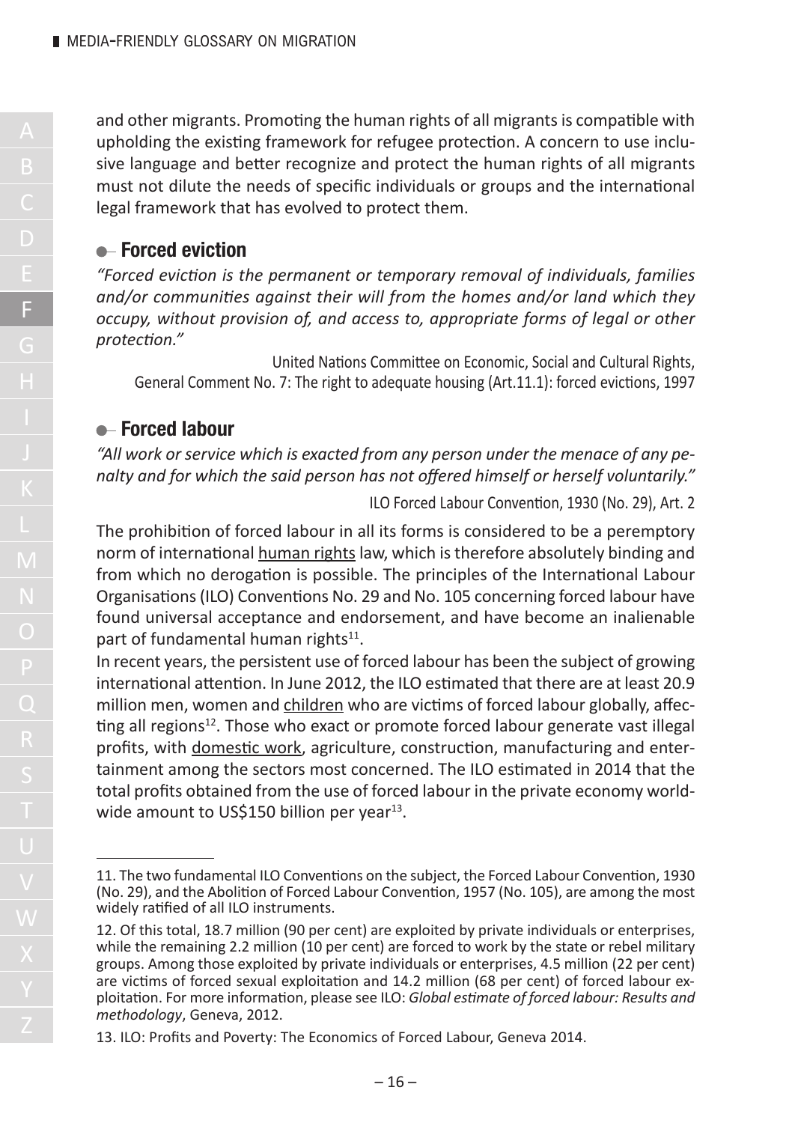and other migrants. Promoting the human rights of all migrantsis compatible with upholding the existing framework for refugee protection. A concern to use inclusive language and better recognize and protect the human rights of all migrants must not dilute the needs of specific individuals or groups and the international legal framework that has evolved to protect them.

#### **Forced eviction**

*"Forced eviction is the permanent or temporary removal of individuals, families and/or communities against their will from the homes and/or land which they occupy, without provision of, and access to, appropriate forms of legal or other protection."*

United Nations Committee on Economic, Social and Cultural Rights, General Comment No. 7: The right to adequate housing (Art.11.1): forced evictions, 1997

#### **Forced labour**

*"All work or service which is exacted from any person under the menace of any penalty and for which the said person has not offered himself or herself voluntarily."*

ILO Forced Labour Convention, 1930 (No. 29), Art. 2

The prohibition of forced labour in all its forms is considered to be a peremptory norm of international human rightslaw, which istherefore absolutely binding and from which no derogation is possible. The principles of the International Labour Organisations(ILO) Conventions No. 29 and No. 105 concerning forced labour have found universal acceptance and endorsement, and have become an inalienable part of fundamental human rights<sup>11</sup>.

In recent years, the persistent use of forced labour has been the subject of growing international attention. In June 2012, the ILO estimated that there are at least 20.9 million men, women and children who are victims of forced labour globally, affecting all regions<sup>12</sup>. Those who exact or promote forced labour generate vast illegal profits, with domestic work, agriculture, construction, manufacturing and entertainment among the sectors most concerned. The ILO estimated in 2014 that the total profits obtained from the use of forced labour in the private economy worldwide amount to US\$150 billion per year<sup>13</sup>.

<sup>11.</sup> The two fundamental ILO Conventions on the subject, the Forced Labour Convention, 1930 (No. 29), and the Abolition of Forced Labour Convention, 1957 (No. 105), are among the most widely ratified of all ILO instruments.

<sup>12.</sup> Of this total, 18.7 million (90 per cent) are exploited by private individuals or enterprises, while the remaining 2.2 million (10 per cent) are forced to work by the state or rebel military groups. Among those exploited by private individuals or enterprises, 4.5 million (22 per cent) are victims of forced sexual exploitation and 14.2 million (68 per cent) of forced labour exploitation. For more information, please see ILO: *Global estimate of forced labour: Results and methodology*, Geneva, 2012.

<sup>13.</sup> ILO: Profits and Poverty: The Economics of Forced Labour, Geneva 2014.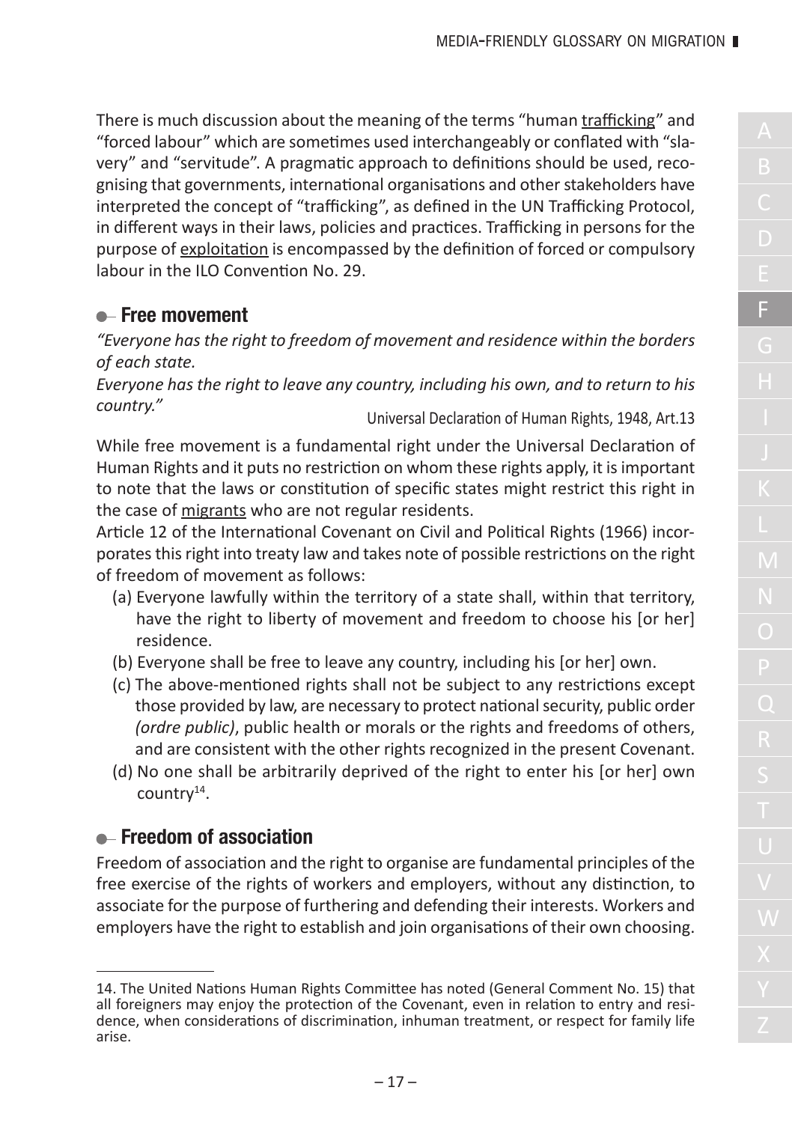There is much discussion about the meaning of the terms "human trafficking" and "forced labour" which are sometimes used interchangeably or conflated with "slavery" and "servitude". A pragmatic approach to definitions should be used, recognising that governments, international organisations and other stakeholders have interpreted the concept of "trafficking", as defined in the UN Trafficking Protocol, in different ways in their laws, policies and practices. Trafficking in persons for the purpose of exploitation is encompassed by the definition of forced or compulsory labour in the ILO Convention No. 29.

#### **Free movement**

*"Everyone hasthe right to freedom of movement and residence within the borders of each state.*

*Everyone has the right to leave any country, including his own, and to return to his country."* Universal Declaration of Human Rights, 1948, Art.13

While free movement is a fundamental right under the Universal Declaration of Human Rights and it puts no restriction on whom these rights apply, it isimportant to note that the laws or constitution of specific states might restrict this right in the case of migrants who are not regular residents.

Article 12 of the International Covenant on Civil and Political Rights (1966) incorporates this right into treaty law and takes note of possible restrictions on the right of freedom of movement as follows:

- (a) Everyone lawfully within the territory of a state shall, within that territory, have the right to liberty of movement and freedom to choose his [or her] residence.
- (b) Everyone shall be free to leave any country, including his [or her] own.
- (c) The above-mentioned rights shall not be subject to any restrictions except those provided by law, are necessary to protect nationalsecurity, public order *(ordre public)*, public health or morals or the rights and freedoms of others, and are consistent with the other rights recognized in the present Covenant.
- (d) No one shall be arbitrarily deprived of the right to enter his [or her] own country<sup>14</sup>.

#### **Freedom of association**

Freedom of association and the right to organise are fundamental principles of the free exercise of the rights of workers and employers, without any distinction, to associate for the purpose of furthering and defending their interests. Workers and employers have the right to establish and join organisations of their own choosing.

<sup>14.</sup> The United Nations Human Rights Committee has noted (General Comment No. 15) that all foreigners may enjoy the protection of the Covenant, even in relation to entry and residence, when considerations of discrimination, inhuman treatment, or respect for family life arise.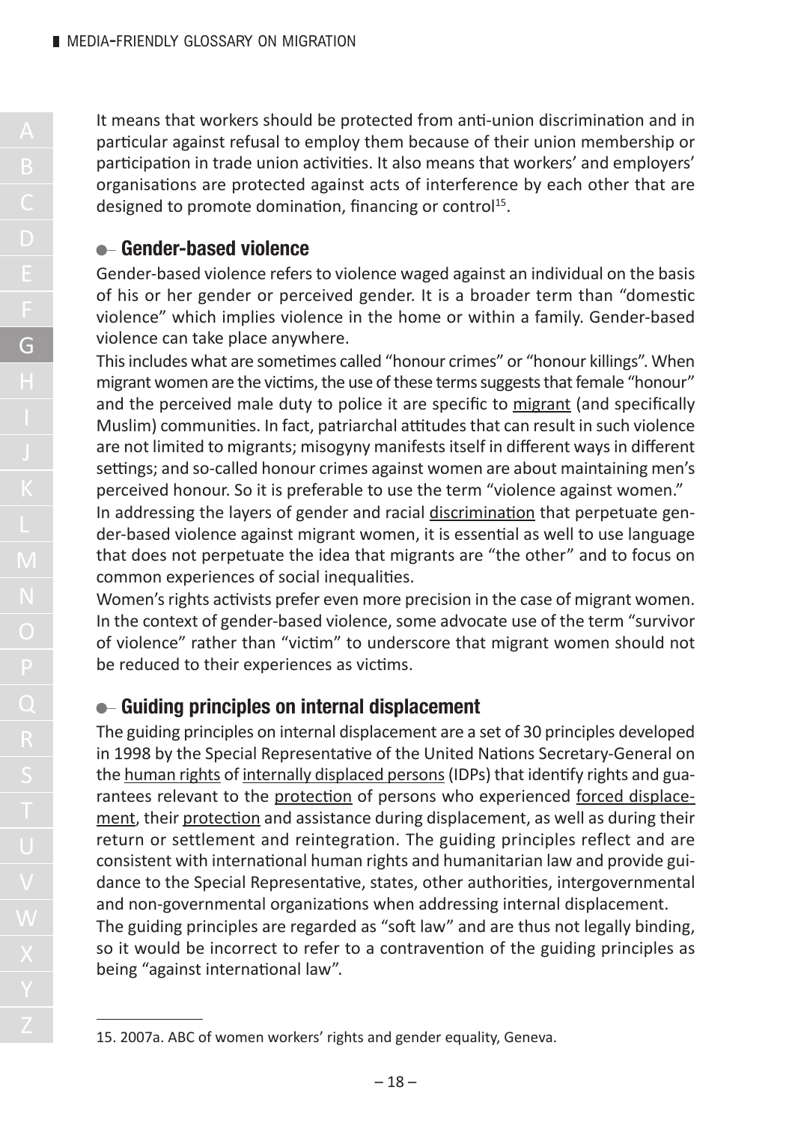It means that workers should be protected from anti-union discrimination and in particular against refusal to employ them because of their union membership or participation in trade union activities. It also means that workers' and employers' organisations are protected against acts of interference by each other that are designed to promote domination, financing or control<sup>15</sup>.

#### **Gender-based violence**

Gender-based violence refersto violence waged against an individual on the basis of his or her gender or perceived gender. It is a broader term than "domestic violence" which implies violence in the home or within a family. Gender-based violence can take place anywhere.

Thisincludes what are sometimes called "honour crimes" or "honour killings". When migrant women are the victims, the use of these terms suggests that female "honour" and the perceived male duty to police it are specific to migrant (and specifically Muslim) communities. In fact, patriarchal attitudesthat can result in such violence are not limited to migrants; misogyny manifests itself in different ways in different settings; and so-called honour crimes against women are about maintaining men's perceived honour. So it is preferable to use the term "violence against women."

In addressing the layers of gender and racial discrimination that perpetuate gender-based violence against migrant women, it is essential as well to use language that does not perpetuate the idea that migrants are "the other" and to focus on common experiences of social inequalities.

Women's rights activists prefer even more precision in the case of migrant women. In the context of gender-based violence, some advocate use of the term "survivor of violence" rather than "victim" to underscore that migrant women should not be reduced to their experiences as victims.

# **Guiding principles on internal displacement**

The guiding principles on internal displacement are a set of 30 principles developed in 1998 by the Special Representative of the United Nations Secretary-General on the human rights of internally displaced persons(IDPs) that identify rights and guarantees relevant to the protection of persons who experienced forced displacement, their protection and assistance during displacement, as well as during their return or settlement and reintegration. The guiding principles reflect and are consistent with international human rights and humanitarian law and provide guidance to the Special Representative, states, other authorities, intergovernmental and non-governmental organizations when addressing internal displacement. The guiding principles are regarded as "soft law" and are thus not legally binding, so it would be incorrect to refer to a contravention of the guiding principles as being "against international law".

<sup>15.</sup> 2007a. ABC of women workers' rights and gender equality, Geneva.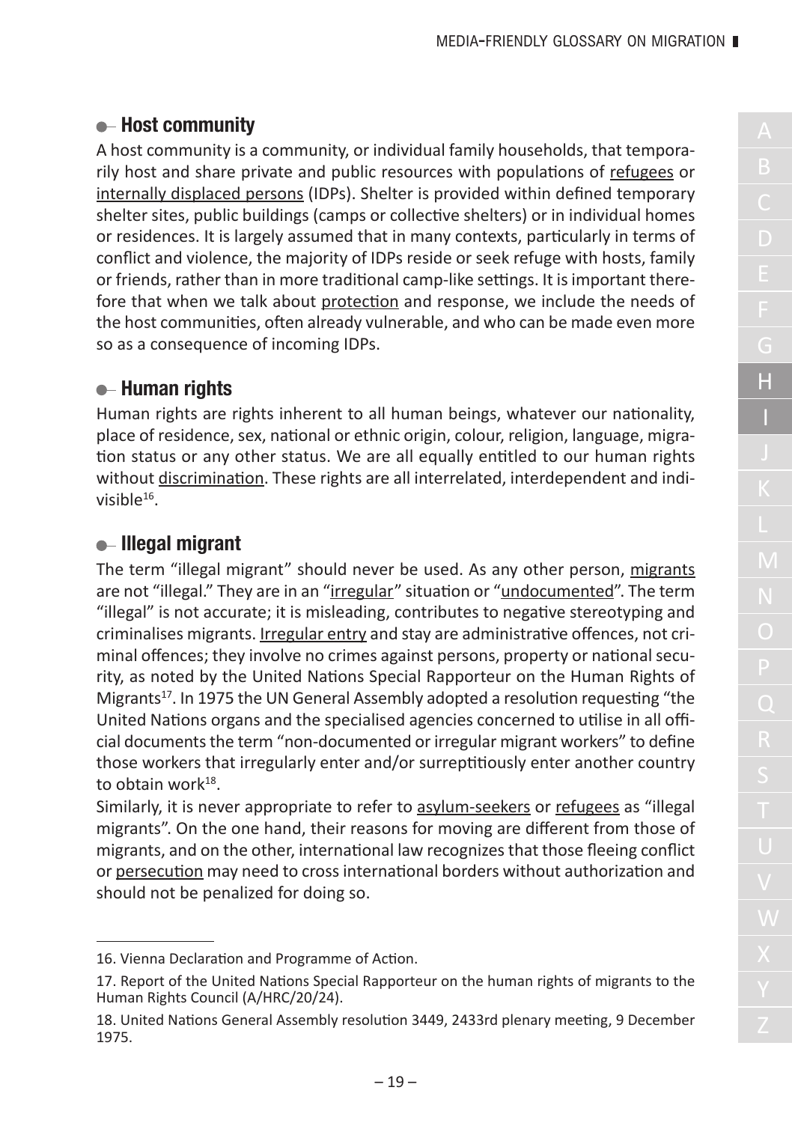# **Host community**

A host community is a community, or individual family households, that temporarily host and share private and public resources with populations of refugees or internally displaced persons (IDPs). Shelter is provided within defined temporary shelter sites, public buildings (camps or collective shelters) or in individual homes or residences. It is largely assumed that in many contexts, particularly in terms of conflict and violence, the majority of IDPs reside or seek refuge with hosts, family or friends, rather than in more traditional camp-like settings. It isimportant therefore that when we talk about protection and response, we include the needs of the host communities, often already vulnerable, and who can be made even more so as a consequence of incoming IDPs.

# **Human rights**

Human rights are rights inherent to all human beings, whatever our nationality, place of residence, sex, national or ethnic origin, colour, religion, language, migration status or any other status. We are all equally entitled to our human rights without discrimination. These rights are all interrelated, interdependent and indi $visible<sup>16</sup>$ .

# **Illegal migrant**

The term "illegal migrant" should never be used. As any other person, migrants are not "illegal." They are in an "irregular" situation or "undocumented". The term "illegal" is not accurate; it is misleading, contributes to negative stereotyping and criminalises migrants. Irregular entry and stay are administrative offences, not criminal offences; they involve no crimes against persons, property or national security, as noted by the United Nations Special Rapporteur on the Human Rights of Migrants<sup>17</sup>. In 1975 the UN General Assembly adopted a resolution requesting "the United Nations organs and the specialised agencies concerned to utilise in all official documents the term "non-documented or irregular migrant workers" to define those workers that irregularly enter and/or surreptitiously enter another country to obtain work<sup>18</sup>.

Similarly, it is never appropriate to refer to asylum-seekers or refugees as "illegal migrants". On the one hand, their reasons for moving are different from those of migrants, and on the other, international law recognizesthat those fleeing conflict or persecution may need to crossinternational borders without authorization and should not be penalized for doing so.

<sup>16.</sup> Vienna Declaration and Programme of Action.

<sup>17.</sup> Report of the United Nations Special Rapporteur on the human rights of migrants to the Human Rights Council (A/HRC/20/24).

<sup>18.</sup> United Nations General Assembly resolution 3449, 2433rd plenary meeting, 9 December 1975.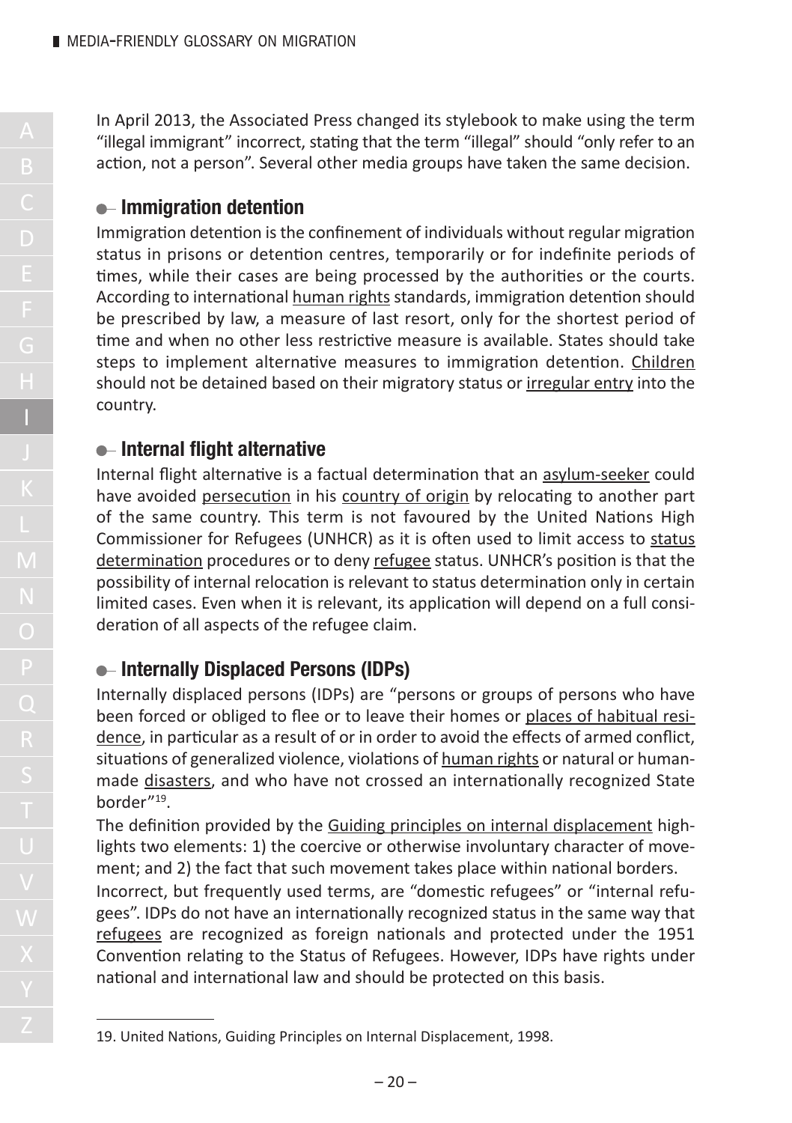In April 2013, the Associated Press changed its stylebook to make using the term "illegal immigrant" incorrect, stating that the term "illegal" should "only refer to an action, not a person". Several other media groups have taken the same decision.

#### **Immigration detention**

Immigration detention isthe confinement of individuals without regular migration status in prisons or detention centres, temporarily or for indefinite periods of times, while their cases are being processed by the authorities or the courts. According to international human rights standards, immigration detention should be prescribed by law, a measure of last resort, only for the shortest period of time and when no other less restrictive measure is available. States should take steps to implement alternative measures to immigration detention. Children should not be detained based on their migratory status or irregular entry into the country.

#### **Internal flight alternative**

Internal flight alternative is a factual determination that an asylum-seeker could have avoided persecution in his country of origin by relocating to another part of the same country. This term is not favoured by the United Nations High Commissioner for Refugees (UNHCR) as it is often used to limit access to status determination procedures or to deny refugee status. UNHCR's position is that the possibility of internal relocation is relevant to status determination only in certain limited cases. Even when it is relevant, its application will depend on a full consideration of all aspects of the refugee claim.

# **Internally Displaced Persons (IDPs)**

Internally displaced persons (IDPs) are "persons or groups of persons who have been forced or obliged to flee or to leave their homes or places of habitual residence, in particular as a result of or in order to avoid the effects of armed conflict, situations of generalized violence, violations of human rights or natural or humanmade disasters, and who have not crossed an internationally recognized State border"19 .

The definition provided by the Guiding principles on internal displacement highlights two elements: 1) the coercive or otherwise involuntary character of movement; and 2) the fact that such movement takes place within national borders.

Incorrect, but frequently used terms, are "domestic refugees" or "internal refugees". IDPs do not have an internationally recognized status in the same way that refugees are recognized as foreign nationals and protected under the 1951 Convention relating to the Status of Refugees. However, IDPs have rights under national and international law and should be protected on this basis.

<sup>19.</sup> United Nations, Guiding Principles on Internal Displacement, 1998.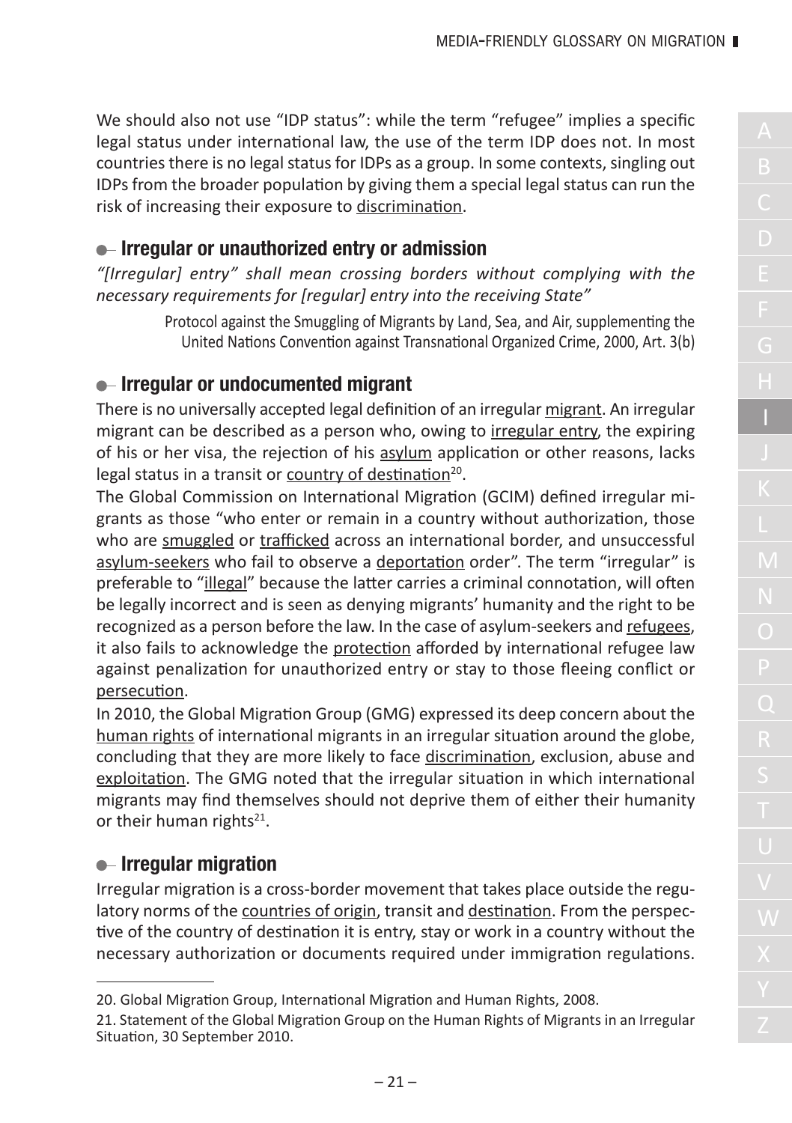We should also not use "IDP status": while the term "refugee" implies a specific legal status under international law, the use of the term IDP does not. In most countries there is no legal status for IDPs as a group. In some contexts, singling out IDPs from the broader population by giving them a special legal status can run the risk of increasing their exposure to discrimination.

## **Irregular or unauthorized entry or admission**

*"[Irregular] entry" shall mean crossing borders without complying with the necessary requirements for [regular] entry into the receiving State"*

> Protocol against the Smuggling of Migrants by Land, Sea, and Air, supplementing the United Nations Convention against Transnational Organized Crime, 2000, Art. 3(b)

# **Irregular or undocumented migrant**

There is no universally accepted legal definition of an irregular migrant. An irregular migrant can be described as a person who, owing to irregular entry, the expiring of his or her visa, the rejection of his asylum application or other reasons, lacks legal status in a transit or country of destination<sup>20</sup>.

The Global Commission on International Migration (GCIM) defined irregular migrants as those "who enter or remain in a country without authorization, those who are smuggled or trafficked across an international border, and unsuccessful asylum-seekers who fail to observe a deportation order". The term "irregular" is preferable to "illegal" because the latter carries a criminal connotation, will often be legally incorrect and is seen as denying migrants' humanity and the right to be recognized as a person before the law. In the case of asylum-seekers and refugees, it also fails to acknowledge the protection afforded by international refugee law against penalization for unauthorized entry or stay to those fleeing conflict or persecution.

In 2010, the Global Migration Group (GMG) expressed its deep concern about the human rights of international migrants in an irregular situation around the globe, concluding that they are more likely to face discrimination, exclusion, abuse and exploitation. The GMG noted that the irregular situation in which international migrants may find themselves should not deprive them of either their humanity or their human rights<sup>21</sup>.

# **Irregular migration**

Irregular migration is a cross-border movement that takes place outside the regulatory norms of the countries of origin, transit and destination. From the perspective of the country of destination it is entry, stay or work in a country without the necessary authorization or documents required under immigration regulations.

<sup>20.</sup> Global Migration Group, International Migration and Human Rights, 2008.

<sup>21.</sup> Statement of the Global Migration Group on the Human Rights of Migrants in an Irregular Situation, 30 September 2010.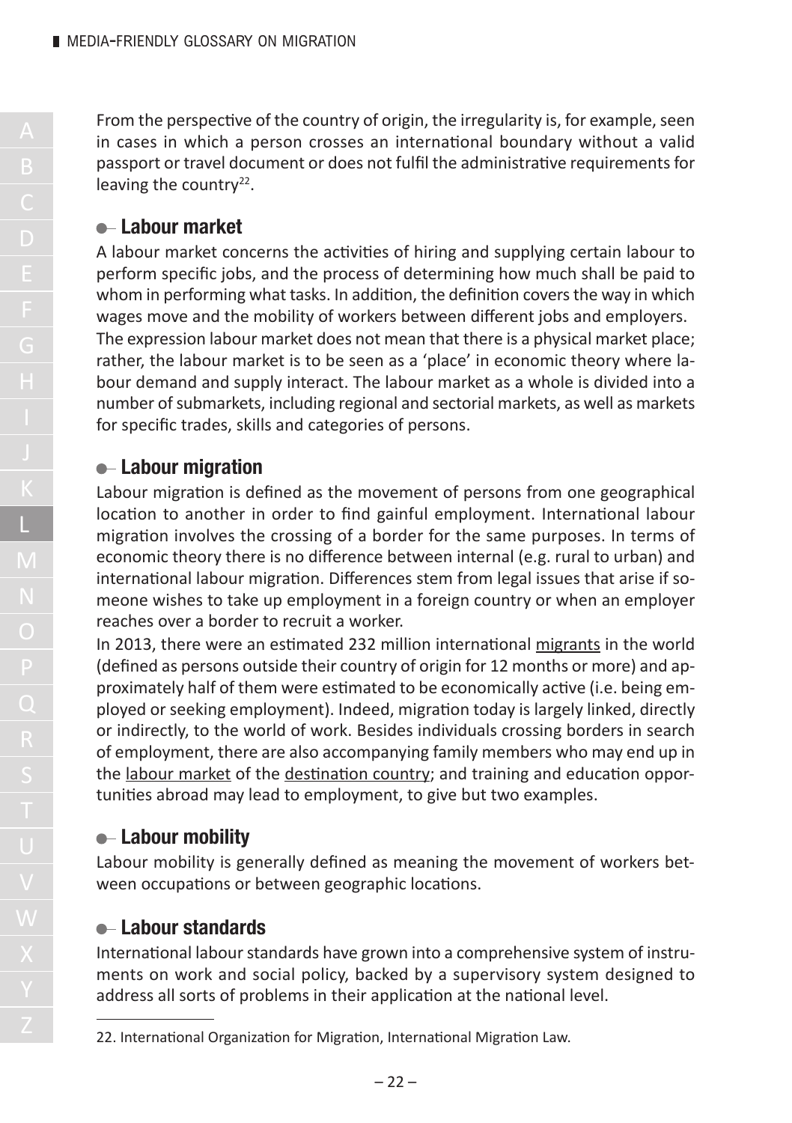From the perspective of the country of origin, the irregularity is, for example, seen in cases in which a person crosses an international boundary without a valid passport or travel document or does not fulfil the administrative requirementsfor leaving the country<sup>22</sup>.

#### **Labour market**

A labour market concerns the activities of hiring and supplying certain labour to perform specific jobs, and the process of determining how much shall be paid to whom in performing what tasks. In addition, the definition covers the way in which wages move and the mobility of workers between different jobs and employers. The expression labour market does not mean that there is a physical market place; rather, the labour market is to be seen as a 'place' in economic theory where labour demand and supply interact. The labour market as a whole is divided into a number of submarkets, including regional and sectorial markets, as well as markets for specific trades, skills and categories of persons.

#### **Labour migration**

Labour migration is defined as the movement of persons from one geographical location to another in order to find gainful employment. International labour migration involves the crossing of a border for the same purposes. In terms of economic theory there is no difference between internal (e.g. rural to urban) and international labour migration. Differences stem from legal issues that arise if someone wishes to take up employment in a foreign country or when an employer reaches over a border to recruit a worker.

In 2013, there were an estimated 232 million international migrants in the world (defined as persons outside their country of origin for 12 months or more) and approximately half of them were estimated to be economically active (i.e. being employed or seeking employment). Indeed, migration today is largely linked, directly or indirectly, to the world of work. Besides individuals crossing borders in search of employment, there are also accompanying family members who may end up in the labour market of the destination country; and training and education opportunities abroad may lead to employment, to give but two examples.

# **Labour mobility**

Labour mobility is generally defined as meaning the movement of workers between occupations or between geographic locations.

# **Labour standards**

International labour standards have grown into a comprehensive system of instruments on work and social policy, backed by a supervisory system designed to address all sorts of problems in their application at the national level.

<sup>22.</sup> International Organization for Migration, International Migration Law.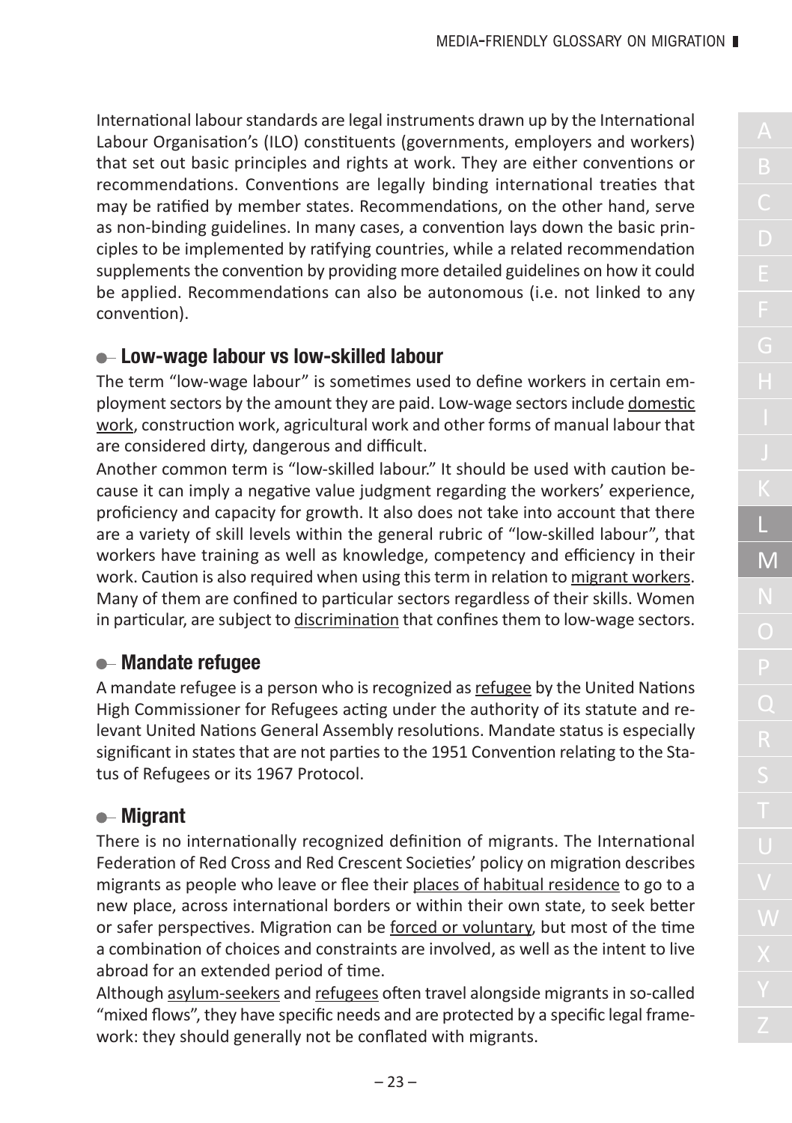International labourstandards are legal instruments drawn up by the International Labour Organisation's (ILO) constituents (governments, employers and workers) that set out basic principles and rights at work. They are either conventions or recommendations. Conventions are legally binding international treaties that may be ratified by member states. Recommendations, on the other hand, serve as non-binding guidelines. In many cases, a convention lays down the basic principles to be implemented by ratifying countries, while a related recommendation supplements the convention by providing more detailed guidelines on how it could be applied. Recommendations can also be autonomous (i.e. not linked to any convention).

#### **Low-wage labour vs low-skilled labour**

The term "low-wage labour" is sometimes used to define workers in certain employment sectors by the amount they are paid. Low-wage sectors include domestic work, construction work, agricultural work and other forms of manual labour that are considered dirty, dangerous and difficult.

Another common term is "low-skilled labour." It should be used with caution because it can imply a negative value judgment regarding the workers' experience, proficiency and capacity for growth. It also does not take into account that there are a variety of skill levels within the general rubric of "low-skilled labour", that workers have training as well as knowledge, competency and efficiency in their work. Caution is also required when using this term in relation to migrant workers. Many of them are confined to particular sectors regardless of their skills. Women in particular, are subject to discrimination that confinesthem to low-wage sectors.

# **Mandate refugee**

A mandate refugee is a person who is recognized as refugee by the United Nations High Commissioner for Refugees acting under the authority of its statute and relevant United Nations General Assembly resolutions. Mandate status is especially significant in states that are not parties to the 1951 Convention relating to the Status of Refugees or its 1967 Protocol.

# **Migrant**

There is no internationally recognized definition of migrants. The International Federation of Red Cross and Red Crescent Societies' policy on migration describes migrants as people who leave or flee their places of habitual residence to go to a new place, across international borders or within their own state, to seek better or safer perspectives. Migration can be forced or voluntary, but most of the time a combination of choices and constraints are involved, as well as the intent to live abroad for an extended period of time.

Although asylum-seekers and refugees often travel alongside migrants in so-called "mixed flows", they have specific needs and are protected by a specific legal framework: they should generally not be conflated with migrants.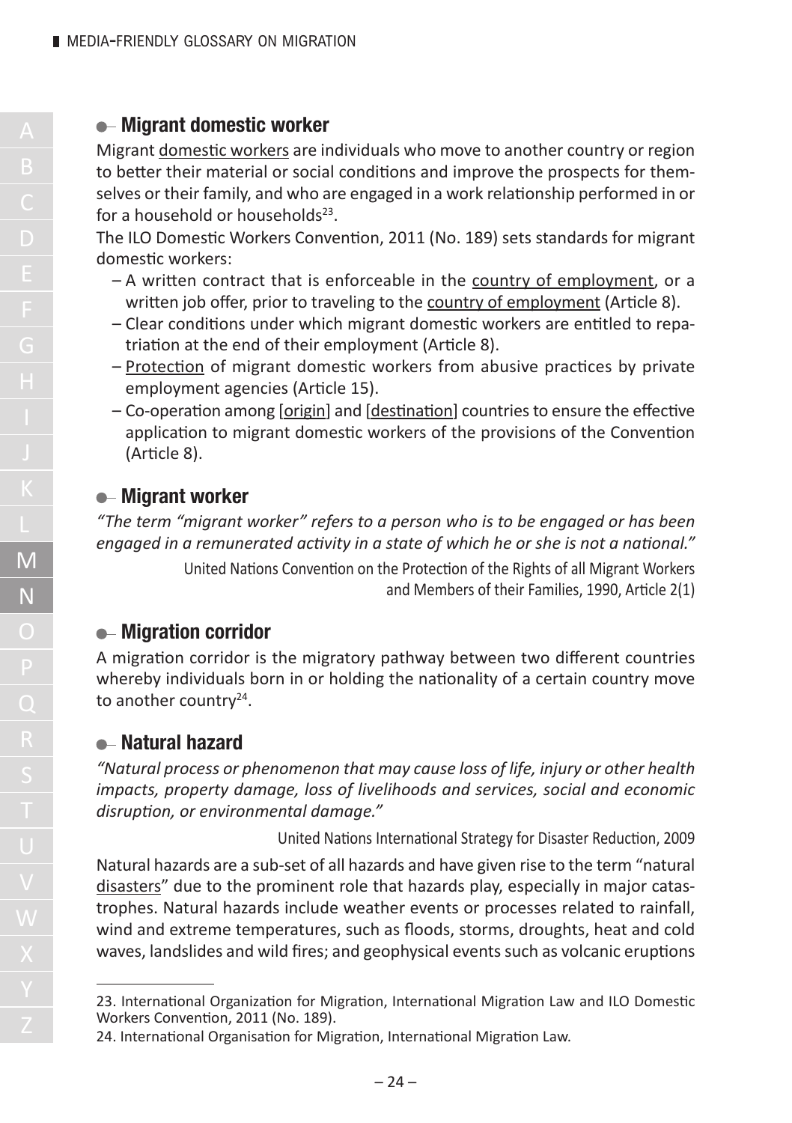#### **Migrant domestic worker**

Migrant domestic workers are individuals who move to another country or region to better their material or social conditions and improve the prospects for themselves or their family, and who are engaged in a work relationship performed in or for a household or households $^{23}$ .

The ILO Domestic Workers Convention, 2011 (No. 189) sets standards for migrant domestic workers:

- A written contract that is enforceable in the country of employment, or a written job offer, prior to traveling to the country of employment (Article 8).
- Clear conditions under which migrant domestic workers are entitled to repatriation at the end of their employment (Article 8).
- Protection of migrant domestic workers from abusive practices by private employment agencies (Article 15).
- Co-operation among [origin] and [destination] countriesto ensure the effective application to migrant domestic workers of the provisions of the Convention (Article 8).

#### **Migrant worker**

*"The term "migrant worker" refers to a person who is to be engaged or has been engaged in a remunerated activity in a state of which he or she is not a national."*

> United Nations Convention on the Protection of the Rights of all Migrant Workers and Members of their Families, 1990, Article 2(1)

# **Migration corridor**

A migration corridor is the migratory pathway between two different countries whereby individuals born in or holding the nationality of a certain country move to another country<sup>24</sup>.

#### **Natural hazard**

*"Natural process or phenomenon that may cause loss of life, injury or other health impacts, property damage, loss of livelihoods and services, social and economic disruption, or environmental damage."*

United Nations International Strategy for Disaster Reduction, 2009

Natural hazards are a sub-set of all hazards and have given rise to the term "natural disasters" due to the prominent role that hazards play, especially in major catastrophes. Natural hazards include weather events or processes related to rainfall, wind and extreme temperatures, such as floods, storms, droughts, heat and cold waves, landslides and wild fires; and geophysical events such as volcanic eruptions

<sup>23.</sup> International Organization for Migration, International Migration Law and ILO Domestic Workers Convention, 2011 (No. 189).

<sup>24.</sup> International Organisation for Migration, International Migration Law.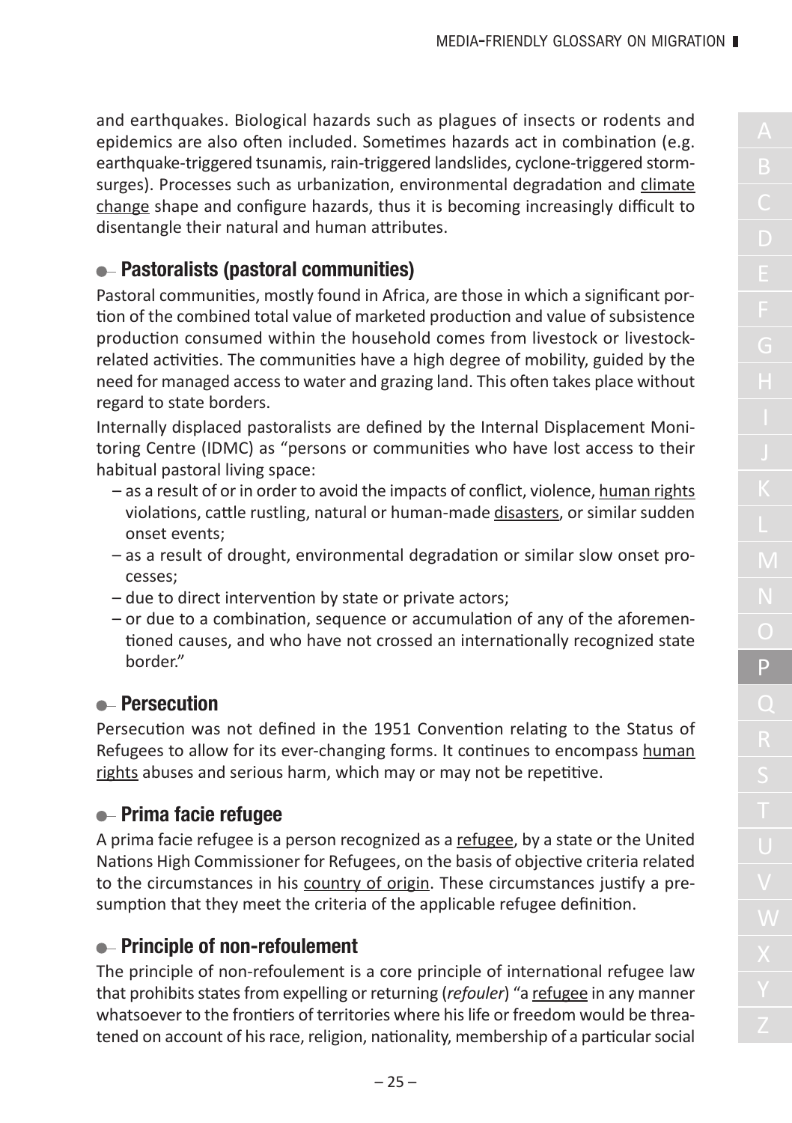and earthquakes. Biological hazards such as plagues of insects or rodents and epidemics are also often included. Sometimes hazards act in combination (e.g. earthquake-triggered tsunamis, rain-triggered landslides, cyclone-triggered stormsurges). Processes such as urbanization, environmental degradation and climate change shape and configure hazards, thus it is becoming increasingly difficult to disentangle their natural and human attributes.

#### **Pastoralists (pastoral communities)**

Pastoral communities, mostly found in Africa, are those in which a significant portion of the combined total value of marketed production and value of subsistence production consumed within the household comes from livestock or livestockrelated activities. The communities have a high degree of mobility, guided by the need for managed accessto water and grazing land. This often takes place without regard to state borders.

Internally displaced pastoralists are defined by the Internal Displacement Monitoring Centre (IDMC) as "persons or communities who have lost access to their habitual pastoral living space:

- as a result of or in order to avoid the impacts of conflict, violence, human rights violations, cattle rustling, natural or human-made disasters, or similar sudden onset events;
- as a result of drought, environmental degradation or similar slow onset processes;
- due to direct intervention by state or private actors;
- or due to a combination, sequence or accumulation of any of the aforementioned causes, and who have not crossed an internationally recognized state border."

#### **e**-Persecution

Persecution was not defined in the 1951 Convention relating to the Status of Refugees to allow for its ever-changing forms. It continues to encompass human rights abuses and serious harm, which may or may not be repetitive.

#### **Prima facie refugee**

A prima facie refugee is a person recognized as a refugee, by a state or the United Nations High Commissioner for Refugees, on the basis of objective criteria related to the circumstances in his country of origin. These circumstances justify a presumption that they meet the criteria of the applicable refugee definition.

#### **Principle of non-refoulement**

The principle of non-refoulement is a core principle of international refugee law that prohibitsstatesfrom expelling or returning (*refouler*) "a refugee in any manner whatsoever to the frontiers of territories where hislife or freedom would be threatened on account of his race, religion, nationality, membership of a particular social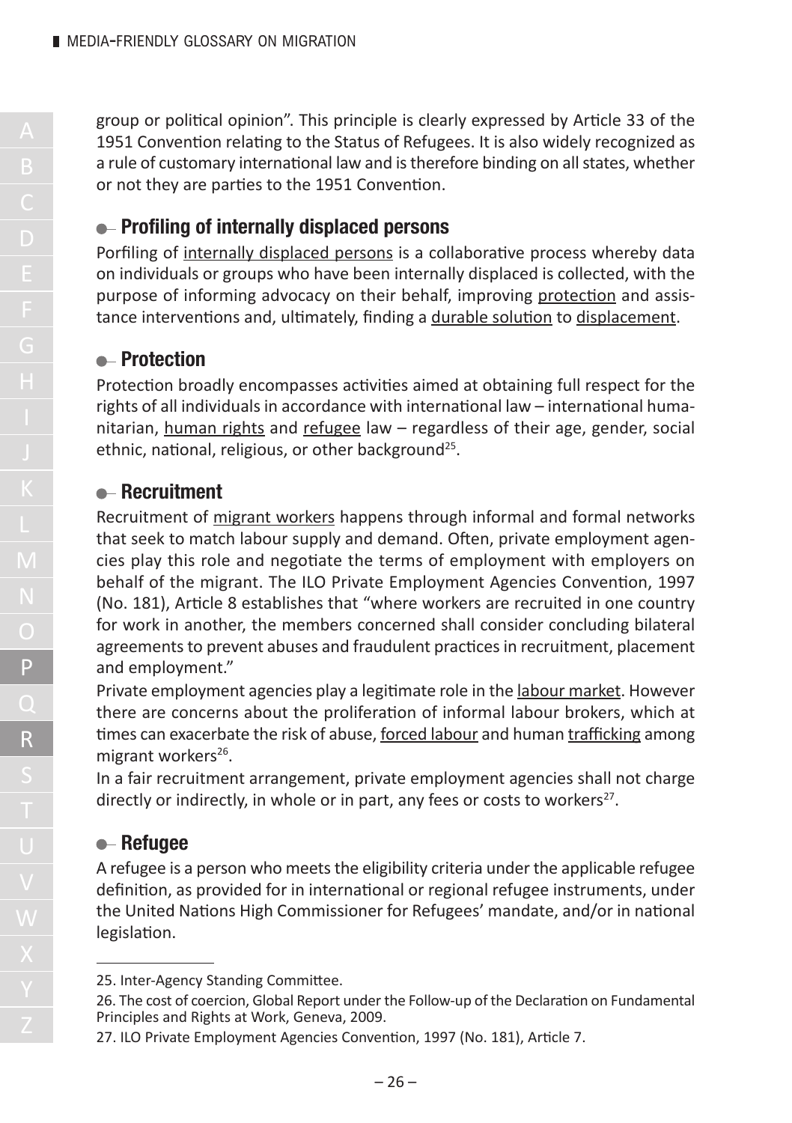group or political opinion". This principle is clearly expressed by Article 33 of the 1951 Convention relating to the Status of Refugees. It is also widely recognized as a rule of customary international law and istherefore binding on allstates, whether or not they are parties to the 1951 Convention.

# **Profiling of internally displaced persons**

Porfiling of internally displaced persons is a collaborative process whereby data on individuals or groups who have been internally displaced is collected, with the purpose of informing advocacy on their behalf, improving protection and assistance interventions and, ultimately, finding a durable solution to displacement.

#### **Protection**

Protection broadly encompasses activities aimed at obtaining full respect for the rights of all individuals in accordance with international law – international humanitarian, human rights and refugee law – regardless of their age, gender, social ethnic, national, religious, or other background<sup>25</sup>.

#### **Recruitment**

Recruitment of migrant workers happens through informal and formal networks that seek to match labour supply and demand. Often, private employment agencies play this role and negotiate the terms of employment with employers on behalf of the migrant. The ILO Private Employment Agencies Convention, 1997 (No. 181), Article 8 establishes that "where workers are recruited in one country for work in another, the members concerned shall consider concluding bilateral agreements to prevent abuses and fraudulent practices in recruitment, placement and employment."

Private employment agencies play a legitimate role in the labour market. However there are concerns about the proliferation of informal labour brokers, which at times can exacerbate the risk of abuse, forced labour and human trafficking among migrant workers<sup>26</sup>.

In a fair recruitment arrangement, private employment agencies shall not charge directly or indirectly, in whole or in part, any fees or costs to workers<sup>27</sup>.

# **Refugee**

A refugee is a person who meets the eligibility criteria under the applicable refugee definition, as provided for in international or regional refugee instruments, under the United Nations High Commissioner for Refugees' mandate, and/or in national legislation.

<sup>25.</sup> Inter-Agency Standing Committee.

<sup>26.</sup> The cost of coercion, Global Report under the Follow-up of the Declaration on Fundamental Principles and Rights at Work, Geneva, 2009.

<sup>27.</sup> ILO Private Employment Agencies Convention, 1997 (No. 181), Article 7.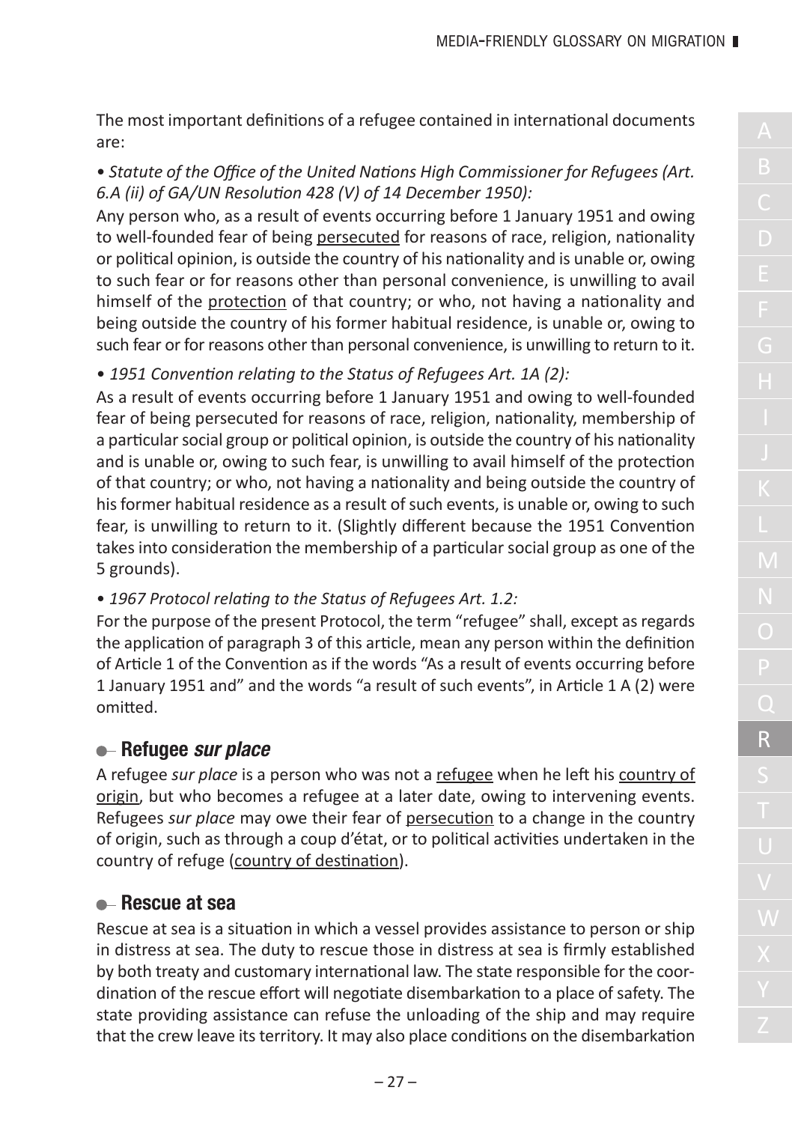The most important definitions of a refugee contained in international documents are:

#### • *Statute of the Office of the United Nations High Commissioner for Refugees (Art. 6.A (ii) of GA/UN Resolution 428 (V) of 14 December 1950):*

Any person who, as a result of events occurring before 1 January 1951 and owing to well-founded fear of being persecuted for reasons of race, religion, nationality or political opinion, is outside the country of his nationality and is unable or, owing to such fear or for reasons other than personal convenience, is unwilling to avail himself of the protection of that country; or who, not having a nationality and being outside the country of his former habitual residence, is unable or, owing to such fear or for reasons other than personal convenience, is unwilling to return to it.

#### • *1951 Convention relating to the Status of Refugees Art. 1A (2):*

As a result of events occurring before 1 January 1951 and owing to well-founded fear of being persecuted for reasons of race, religion, nationality, membership of a particular social group or political opinion, is outside the country of his nationality and is unable or, owing to such fear, is unwilling to avail himself of the protection of that country; or who, not having a nationality and being outside the country of his former habitual residence as a result of such events, is unable or, owing to such fear, is unwilling to return to it. (Slightly different because the 1951 Convention takes into consideration the membership of a particular social group as one of the 5 grounds).

• *1967 Protocol relating to the Status of Refugees Art. 1.2:*

For the purpose of the present Protocol, the term "refugee" shall, except asregards the application of paragraph 3 of this article, mean any person within the definition of Article 1 of the Convention as if the words "As a result of events occurring before 1 January 1951 and" and the words "a result of such events", in Article 1 A (2) were omitted.

#### **Refugee sur place**

A refugee *sur place* is a person who was not a refugee when he left his country of origin, but who becomes a refugee at a later date, owing to intervening events. Refugees *sur place* may owe their fear of persecution to a change in the country of origin, such as through a coup d'état, or to political activities undertaken in the country of refuge (country of destination).

#### **Rescue at sea**

Rescue at sea is a situation in which a vessel provides assistance to person or ship in distress at sea. The duty to rescue those in distress at sea is firmly established by both treaty and customary international law. The state responsible for the coordination of the rescue effort will negotiate disembarkation to a place ofsafety. The state providing assistance can refuse the unloading of the ship and may require that the crew leave its territory. It may also place conditions on the disembarkation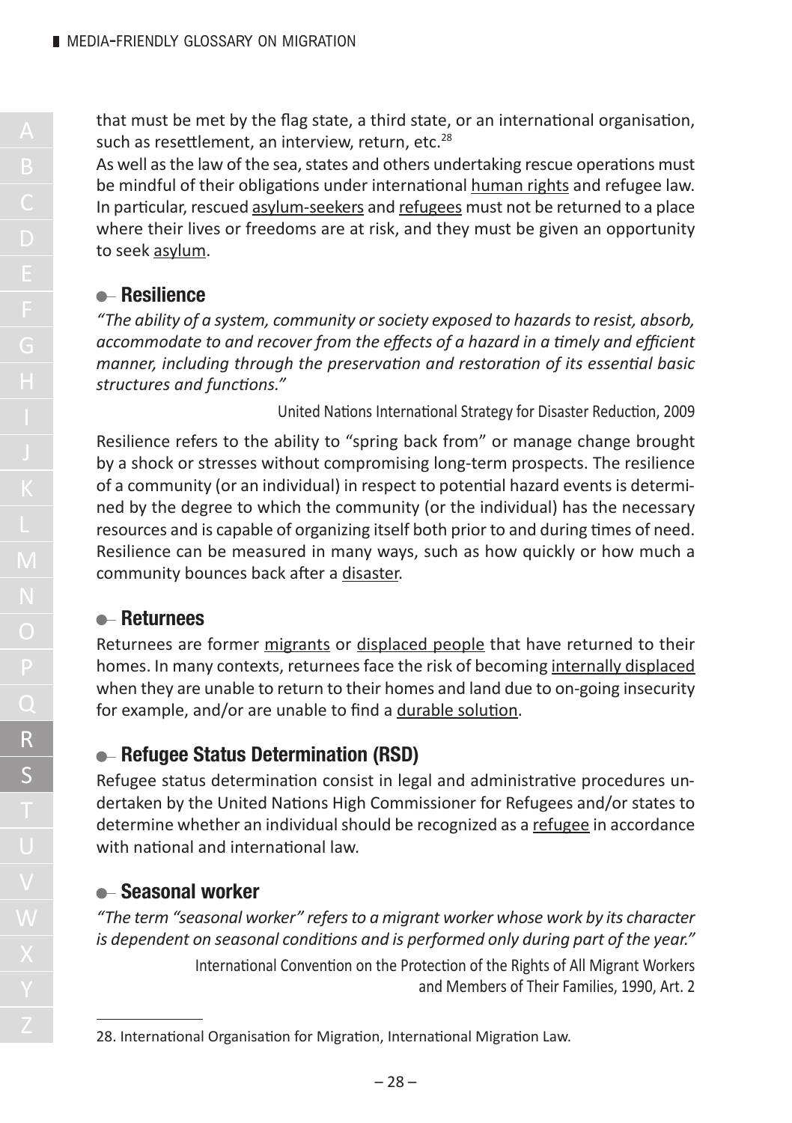that must be met by the flag state, a third state, or an international organisation, such as resettlement, an interview, return, etc.<sup>28</sup>

As well as the law of the sea, states and others undertaking rescue operations must be mindful of their obligations under international human rights and refugee law. In particular, rescued asylum-seekers and refugees must not be returned to a place where their lives or freedoms are at risk, and they must be given an opportunity to seek asylum.

#### **Resilience**

*"The ability of a system, community orsociety exposed to hazardsto resist, absorb, accommodate to and recover from the effects of a hazard in a timely and efficient manner, including through the preservation and restoration of its essential basic structures and functions."*

United Nations International Strategy for Disaster Reduction, 2009

Resilience refers to the ability to "spring back from" or manage change brought by a shock or stresses without compromising long-term prospects. The resilience of a community (or an individual) in respect to potential hazard events is determined by the degree to which the community (or the individual) has the necessary resources and is capable of organizing itself both prior to and during times of need. Resilience can be measured in many ways, such as how quickly or how much a community bounces back after a disaster.

#### **Returnees**

Returnees are former migrants or displaced people that have returned to their homes. In many contexts, returnees face the risk of becoming internally displaced when they are unable to return to their homes and land due to on-going insecurity for example, and/or are unable to find a durable solution.

# **Refugee Status Determination (RSD)**

Refugee status determination consist in legal and administrative procedures undertaken by the United Nations High Commissioner for Refugees and/or states to determine whether an individualshould be recognized as a refugee in accordance with national and international law.

# **Seasonal worker**

*"The term "seasonal worker" refersto a migrant worker whose work by its character is dependent on seasonal conditions and is performed only during part of the year."*

International Convention on the Protection of the Rights of All Migrant Workers and Members of Their Families, 1990, Art. 2

<sup>28.</sup> International Organisation for Migration, International Migration Law.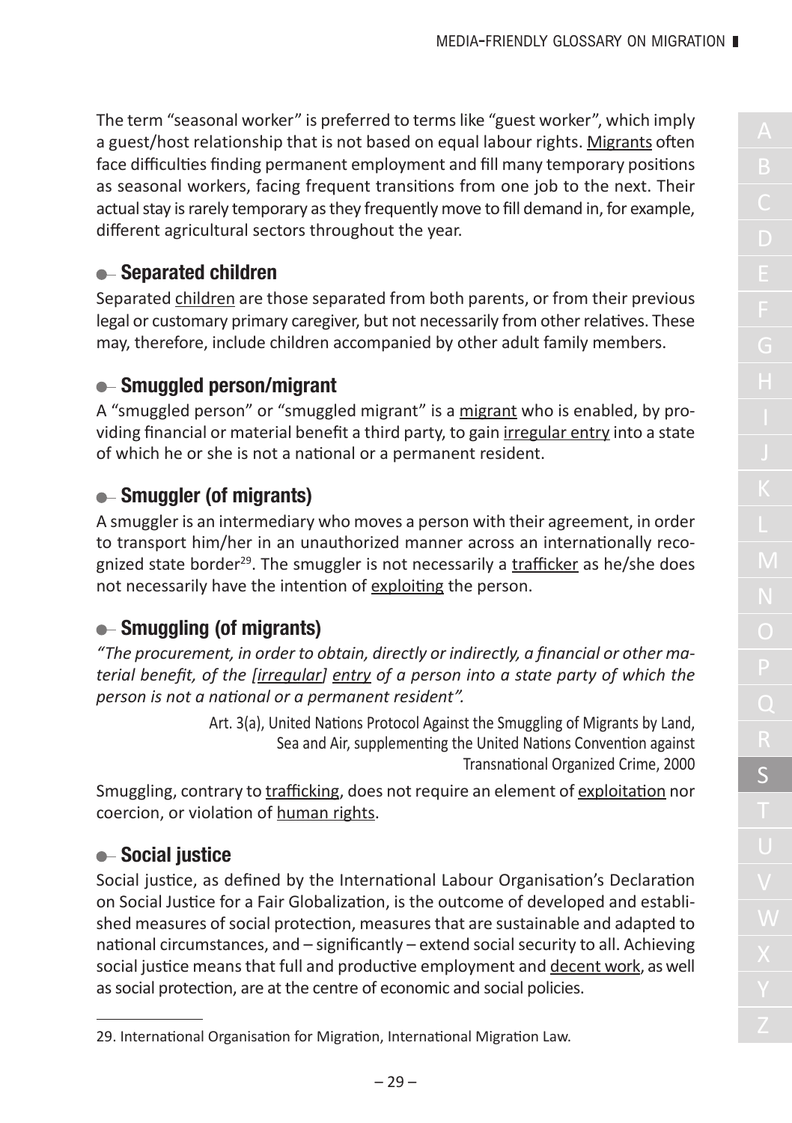The term "seasonal worker" is preferred to termslike "guest worker", which imply a guest/host relationship that is not based on equal labour rights. Migrants often face difficulties finding permanent employment and fill many temporary positions as seasonal workers, facing frequent transitions from one job to the next. Their actual stay is rarely temporary as they frequently move to fill demand in, for example, different agricultural sectors throughout the year.

# **Separated children**

Separated children are those separated from both parents, or from their previous legal or customary primary caregiver, but not necessarily from otherrelatives. These may, therefore, include children accompanied by other adult family members.

# **Smuggled person/migrant**

A "smuggled person" or "smuggled migrant" is a migrant who is enabled, by providing financial or material benefit a third party, to gain irregular entry into a state of which he or she is not a national or a permanent resident.

# **Smuggler (of migrants)**

A smuggler is an intermediary who moves a person with their agreement, in order to transport him/her in an unauthorized manner across an internationally recognized state border<sup>29</sup>. The smuggler is not necessarily a trafficker as he/she does not necessarily have the intention of exploiting the person.

# **Smuggling (of migrants)**

*"The procurement, in order to obtain, directly or indirectly, a financial or other material benefit, of the [irregular] entry of a person into a state party of which the person is not a national or a permanent resident".*

> Art. 3(a), United Nations Protocol Against the Smuggling of Migrants by Land, Sea and Air, supplementing the United Nations Convention against Transnational Organized Crime, 2000

Smuggling, contrary to trafficking, does not require an element of exploitation nor coercion, or violation of human rights.

# **Social justice**

Social justice, as defined by the International Labour Organisation's Declaration on Social Justice for a Fair Globalization, is the outcome of developed and established measures of social protection, measures that are sustainable and adapted to national circumstances, and – significantly – extend socialsecurity to all. Achieving social justice means that full and productive employment and decent work, as well as social protection, are at the centre of economic and social policies.

<sup>29.</sup> International Organisation for Migration, International Migration Law.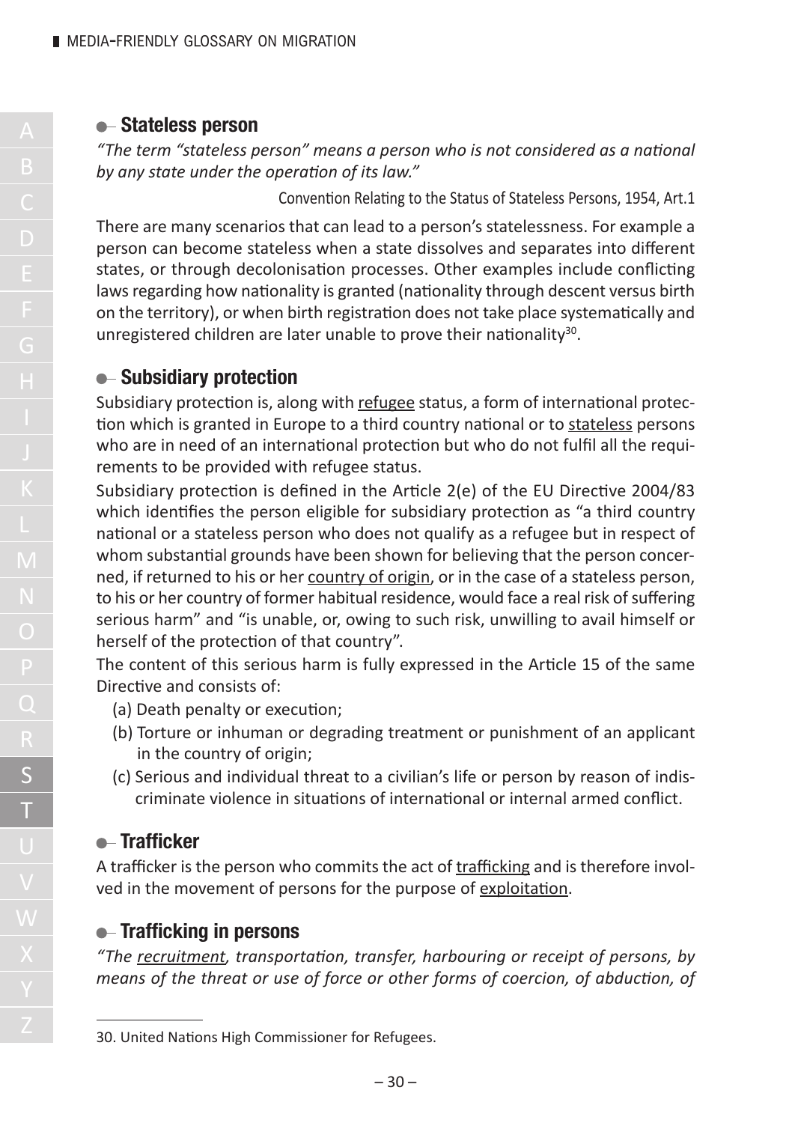#### **Stateless person**

*"The term "stateless person" means a person who is not considered as a national by any state under the operation of its law."*

Convention Relating to the Status of Stateless Persons, 1954, Art.1

There are many scenarios that can lead to a person's statelessness. For example a person can become stateless when a state dissolves and separates into different states, or through decolonisation processes. Other examples include conflicting laws regarding how nationality is granted (nationality through descent versus birth on the territory), or when birth registration does not take place systematically and unregistered children are later unable to prove their nationality<sup>30</sup>.

#### **Subsidiary protection**

Subsidiary protection is, along with refugee status, a form of international protection which is granted in Europe to a third country national or to stateless persons who are in need of an international protection but who do not fulfil all the requirements to be provided with refugee status.

Subsidiary protection is defined in the Article 2(e) of the EU Directive 2004/83 which identifies the person eligible for subsidiary protection as "a third country national or a stateless person who does not qualify as a refugee but in respect of whom substantial grounds have been shown for believing that the person concerned, if returned to his or her country of origin, or in the case of a stateless person, to his or her country of former habitual residence, would face a real risk of suffering serious harm" and "is unable, or, owing to such risk, unwilling to avail himself or herself of the protection of that country".

The content of this serious harm is fully expressed in the Article 15 of the same Directive and consists of:

- (a) Death penalty or execution;
- (b) Torture or inhuman or degrading treatment or punishment of an applicant in the country of origin;
- (c) Serious and individual threat to a civilian's life or person by reason of indiscriminate violence in situations of international or internal armed conflict.

# **Trafficker**

A trafficker is the person who commits the act of trafficking and is therefore involved in the movement of persons for the purpose of exploitation.

#### **Trafficking in persons**

*"The recruitment, transportation, transfer, harbouring or receipt of persons, by means of the threat or use of force or other forms of coercion, of abduction, of*

<sup>30.</sup> United Nations High Commissioner for Refugees.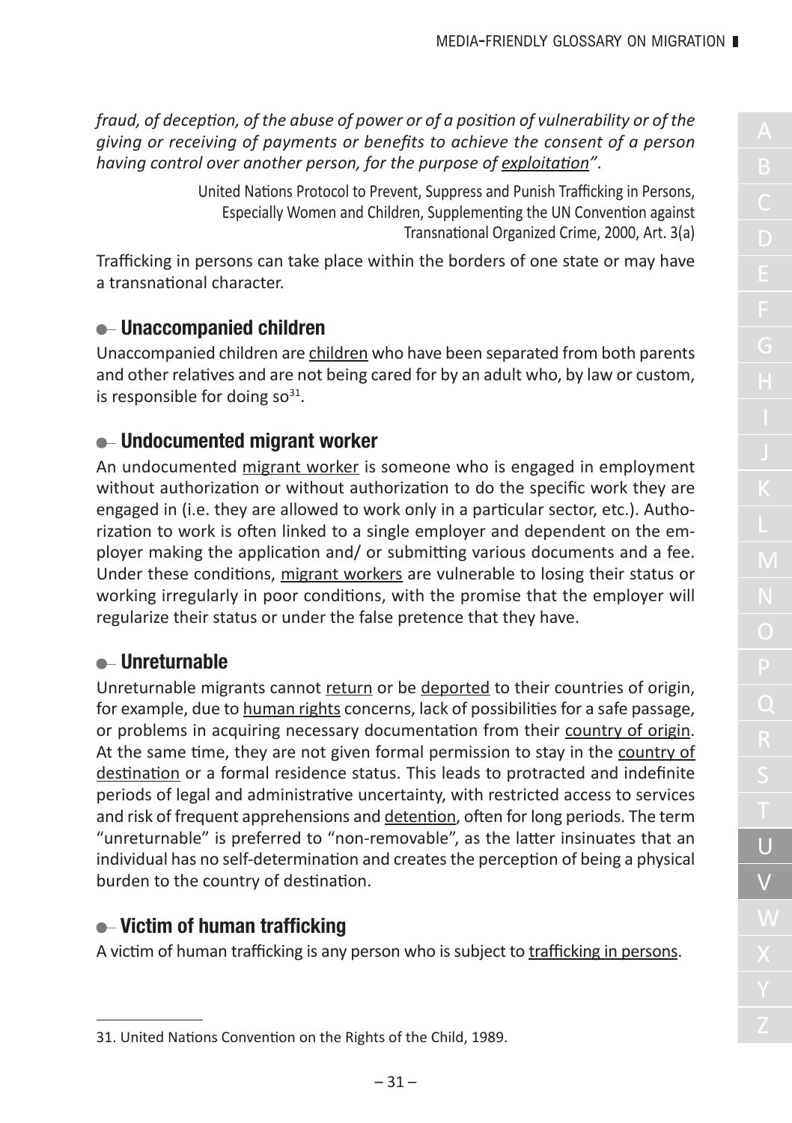*fraud, of deception, of the abuse of power or of a position of vulnerability or of the giving or receiving of payments or benefits to achieve the consent of a person having control over another person, for the purpose of exploitation"*.

> United Nations Protocol to Prevent, Suppress and Punish Trafficking in Persons, Especially Women and Children, Supplementing the UN Convention against Transnational Organized Crime, 2000, Art. 3(a)

Trafficking in persons can take place within the borders of one state or may have a transnational character.

#### **Unaccompanied children**

Unaccompanied children are children who have been separated from both parents and other relatives and are not being cared for by an adult who, by law or custom, is responsible for doing so $31$ .

#### **Undocumented migrant worker**

An undocumented migrant worker is someone who is engaged in employment without authorization or without authorization to do the specific work they are engaged in (i.e. they are allowed to work only in a particular sector, etc.). Authorization to work is often linked to a single employer and dependent on the employer making the application and/ or submitting various documents and a fee. Under these conditions, migrant workers are vulnerable to losing their status or working irregularly in poor conditions, with the promise that the employer will regularize their status or under the false pretence that they have.

#### **Unreturnable**

Unreturnable migrants cannot return or be deported to their countries of origin, for example, due to human rights concerns, lack of possibilities for a safe passage, or problems in acquiring necessary documentation from their country of origin. At the same time, they are not given formal permission to stay in the country of destination or a formal residence status. This leads to protracted and indefinite periods of legal and administrative uncertainty, with restricted access to services and risk of frequent apprehensions and detention, often for long periods. The term "unreturnable" is preferred to "non-removable", as the latter insinuates that an individual has no self-determination and creates the perception of being a physical burden to the country of destination.

#### **Victim of human trafficking**

A victim of human trafficking is any person who is subject to trafficking in persons.

Z 31. United Nations Convention on the Rights of the Child, 1989.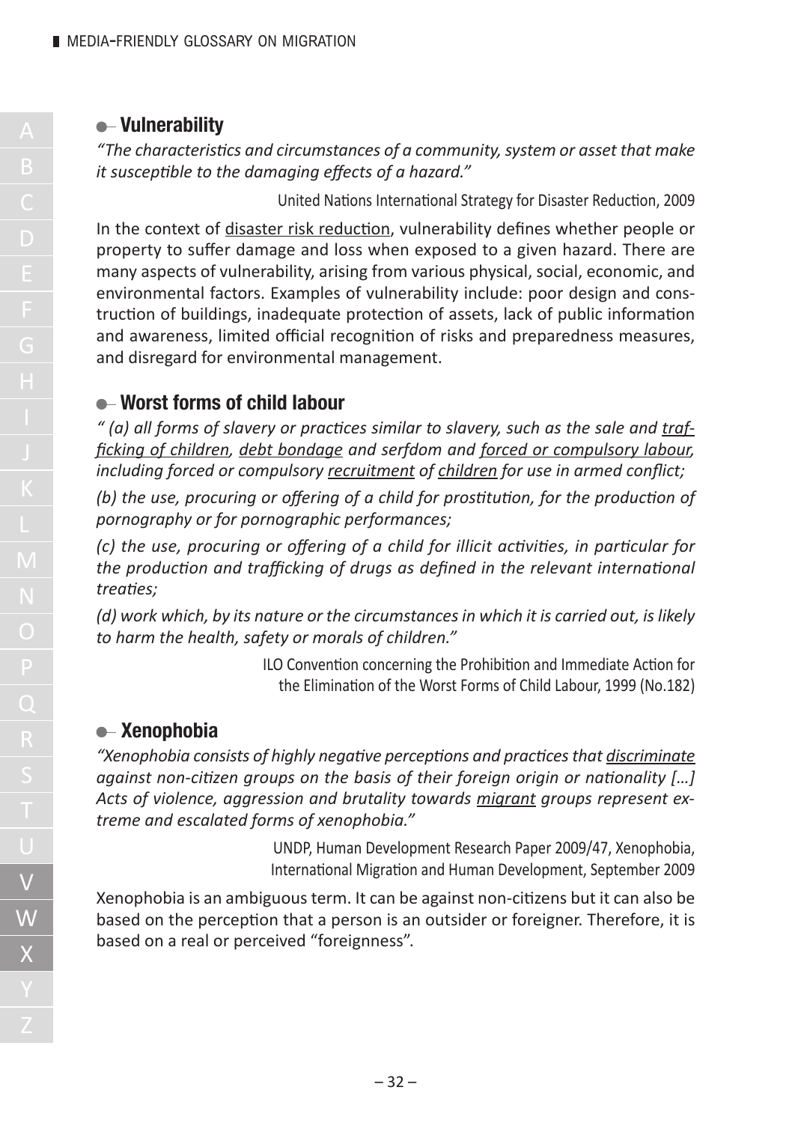#### **Vulnerability**

*"The characteristics and circumstances of a community,system or asset that make it susceptible to the damaging effects of a hazard."*

United Nations International Strategy for Disaster Reduction, 2009

In the context of disaster risk reduction, vulnerability defines whether people or property to suffer damage and loss when exposed to a given hazard. There are many aspects of vulnerability, arising from various physical, social, economic, and environmental factors. Examples of vulnerability include: poor design and construction of buildings, inadequate protection of assets, lack of public information and awareness, limited official recognition of risks and preparedness measures, and disregard for environmental management.

#### **Worst forms of child labour**

*" (a) all forms of slavery or practices similar to slavery, such as the sale and trafficking of children, debt bondage and serfdom and forced or compulsory labour, including forced or compulsory recruitment of children for use in armed conflict;*

*(b) the use, procuring or offering of a child for prostitution, for the production of pornography or for pornographic performances;*

*(c) the use, procuring or offering of a child for illicit activities, in particular for the production and trafficking of drugs as defined in the relevant international treaties;*

*(d) work which, by its nature or the circumstancesin which it is carried out, islikely to harm the health, safety or morals of children."*

> ILO Convention concerning the Prohibition and Immediate Action for the Elimination of the Worst Forms of Child Labour, 1999 (No.182)

# **Xenophobia**

*"Xenophobia consists of highly negative perceptions and practicesthat discriminate against non-citizen groups on the basis of their foreign origin or nationality […] Acts of violence, aggression and brutality towards migrant groups represent extreme and escalated forms of xenophobia."*

> UNDP, Human Development Research Paper 2009/47, Xenophobia, International Migration and Human Development, September 2009

Xenophobia is an ambiguous term. It can be against non-citizens but it can also be based on the perception that a person is an outsider or foreigner. Therefore, it is based on a real or perceived "foreignness".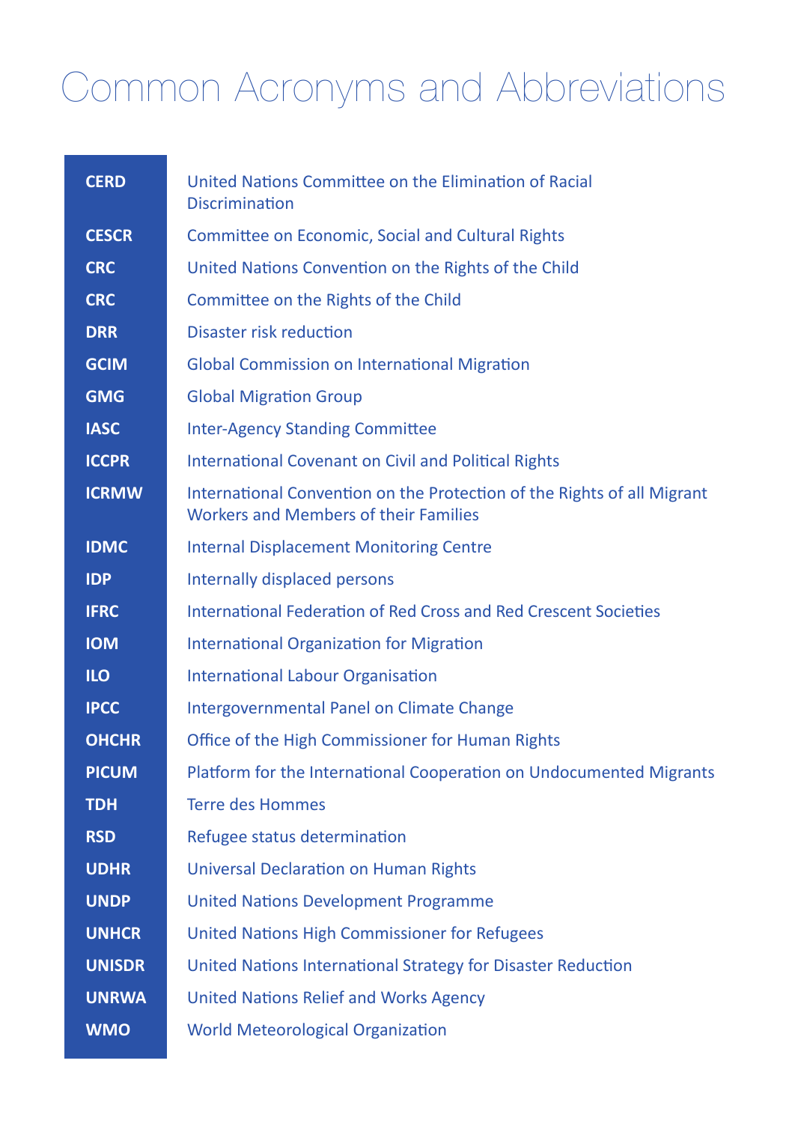# Common Acronyms and Abbreviations

| <b>CERD</b>   | United Nations Committee on the Elimination of Racial<br><b>Discrimination</b>                                   |
|---------------|------------------------------------------------------------------------------------------------------------------|
| <b>CESCR</b>  | Committee on Economic, Social and Cultural Rights                                                                |
| <b>CRC</b>    | United Nations Convention on the Rights of the Child                                                             |
| <b>CRC</b>    | Committee on the Rights of the Child                                                                             |
| <b>DRR</b>    | Disaster risk reduction                                                                                          |
| <b>GCIM</b>   | <b>Global Commission on International Migration</b>                                                              |
| <b>GMG</b>    | <b>Global Migration Group</b>                                                                                    |
| <b>IASC</b>   | <b>Inter-Agency Standing Committee</b>                                                                           |
| <b>ICCPR</b>  | <b>International Covenant on Civil and Political Rights</b>                                                      |
| <b>ICRMW</b>  | International Convention on the Protection of the Rights of all Migrant<br>Workers and Members of their Families |
| <b>IDMC</b>   | <b>Internal Displacement Monitoring Centre</b>                                                                   |
| <b>IDP</b>    | Internally displaced persons                                                                                     |
| <b>IFRC</b>   | <b>International Federation of Red Cross and Red Crescent Societies</b>                                          |
| <b>IOM</b>    | <b>International Organization for Migration</b>                                                                  |
| <b>ILO</b>    | <b>International Labour Organisation</b>                                                                         |
| <b>IPCC</b>   | <b>Intergovernmental Panel on Climate Change</b>                                                                 |
| <b>OHCHR</b>  | Office of the High Commissioner for Human Rights                                                                 |
| <b>PICUM</b>  | Platform for the International Cooperation on Undocumented Migrants                                              |
| <b>TDH</b>    | <b>Terre des Hommes</b>                                                                                          |
| <b>RSD</b>    | Refugee status determination                                                                                     |
| <b>UDHR</b>   | <b>Universal Declaration on Human Rights</b>                                                                     |
| <b>UNDP</b>   | <b>United Nations Development Programme</b>                                                                      |
| <b>UNHCR</b>  | <b>United Nations High Commissioner for Refugees</b>                                                             |
| <b>UNISDR</b> | United Nations International Strategy for Disaster Reduction                                                     |
| <b>UNRWA</b>  | <b>United Nations Relief and Works Agency</b>                                                                    |
| <b>WMO</b>    | <b>World Meteorological Organization</b>                                                                         |